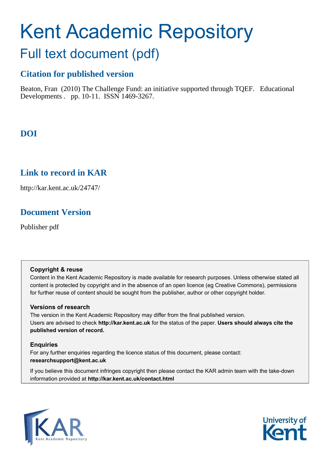# Kent Academic Repository

### Full text document (pdf)

### **Citation for published version**

Beaton, Fran (2010) The Challenge Fund: an initiative supported through TQEF. Educational Developments . pp. 10-11. ISSN 1469-3267.

### **DOI**

### **Link to record in KAR**

http://kar.kent.ac.uk/24747/

### **Document Version**

Publisher pdf

#### **Copyright & reuse**

Content in the Kent Academic Repository is made available for research purposes. Unless otherwise stated all content is protected by copyright and in the absence of an open licence (eg Creative Commons), permissions for further reuse of content should be sought from the publisher, author or other copyright holder.

#### **Versions of research**

The version in the Kent Academic Repository may differ from the final published version. Users are advised to check **http://kar.kent.ac.uk** for the status of the paper. **Users should always cite the published version of record.**

#### **Enquiries**

For any further enquiries regarding the licence status of this document, please contact: **researchsupport@kent.ac.uk**

If you believe this document infringes copyright then please contact the KAR admin team with the take-down information provided at **http://kar.kent.ac.uk/contact.html**



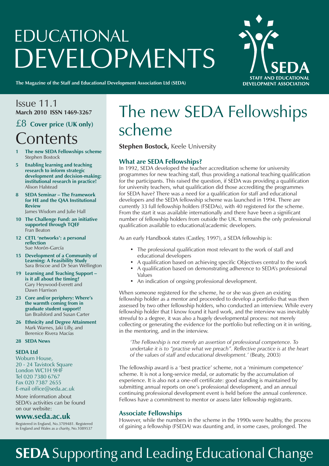# EDUCATIONAL **DEVELOPMENTS**



**The Magazine of the Staff and Educational Development Association Ltd (SEDA)**

Issue 11.1 **March 2010 ISSN 1469-3267**

### £8 **Cover price (UK only) Contents**

- **1 The new SEDA Fellowships scheme** Stephen Bostock
- **5 Enabling learning and teaching research to inform strategic development and decision-making: institutional research in practice!** Alison Halstead
- **8 SEDA Seminar The Framework for HE and the QAA Institutional Review** James Wisdom and Julie Hall
- **10 The Challenge Fund: an initiative supported through TQEF** Fran Beaton
- **12 CETL 'networks': a personal reflection** Sue Morón-García
- **15 Development of a Community of Learning: A Feasibility Study** Sara Briscoe and Dr Sean Wellington
- **19 Learning and Teaching Support is it all about the timing?** Gary Heywood-Everett and Dawn Harrison
- **23** Core and/or periphery: Where's  **the warmth coming from in graduate student support?** Ian Brailsford and Susan Carter
- **26 Ethnicity and Degree Attainment** Mark Warnes, Jaki Lilly, and Berenice Rivera Macías
- **28 SEDA News**

#### **SEDA Ltd**

Woburn House, 20 - 24 Tavistock Square London WC1H 9HF Tel 020 7380 6767 Fax 020 7387 2655 E-mail office@seda.ac.uk

More information about SEDA's activities can be found on our website:

#### **www.seda.ac.uk**

Registered in England, No.3709481. Registered in England and Wales as a charity, No.1089537

## The new SEDA Fellowships scheme

**Stephen Bostock, Keele University** 

#### **What are SEDA Fellowships?**

In 1992, SEDA developed the teacher accreditation scheme for university programmes for new teaching staff, thus providing a national teaching qualification for the participants. This raised the question, if SEDA was providing a qualification for university teachers, what qualification did those accrediting the programmes for SEDA have? There was a need for a qualification for staff and educational developers and the SEDA fellowship scheme was launched in 1994. There are currently 33 full fellowship holders (FSEDAs), with 40 registered for the scheme. From the start it was available internationally and there have been a significant number of fellowship holders from outside the UK. It remains the only professional qualification available to educational/academic developers.

As an early Handbook states (Castley, 1997), a SEDA fellowship is:

- The professional qualification most relevant to the work of staff and educational developers
- A qualification based on achieving specific Objectives central to the work
- A qualification based on demonstrating adherence to SEDA's professional Values
- An indication of ongoing professional development.

When someone registered for the scheme, he or she was given an existing fellowship holder as a mentor and proceeded to develop a portfolio that was then assessed by two other fellowship holders, who conducted an interview. While every fellowship holder that I know found it hard work, and the interview was inevitably stressful to a degree, it was also a hugely developmental process: not merely collecting or generating the evidence for the portfolio but reflecting on it in writing, in the mentoring, and in the interview.

 *ëThe Fellowship is not merely an assertion of professional competence. To undertake it is to "practise what we preach". Reflective practice is at the heart of the values of staff and educational development.í* (Beaty, 2003)

The fellowship award is a 'best practice' scheme, not a 'minimum competence' scheme. It is not a long-service medal, or automatic by the accumulation of experience. It is also not a one-off certificate: good standing is maintained by submitting annual reports on one's professional development, and an annual continuing professional development event is held before the annual conference. Fellows have a commitment to mentor or assess later fellowship registrants.

#### **Associate Fellowships**

However, while the numbers in the scheme in the 1990s were healthy, the process of gaining a fellowship (FSEDA) was daunting and, in some cases, prolonged. The

## **SEDA** Supporting and Leading Educational Change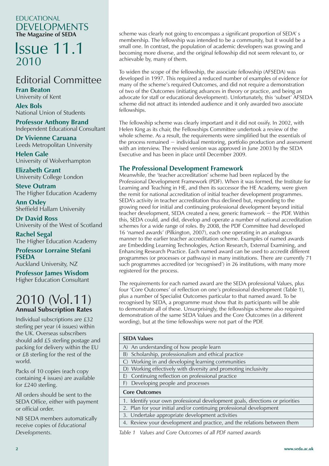#### EDUCATIONAL DEVELOPMENTS **The Magazine of SEDA**

### Issue 11.1 2010

### Editorial Committee

**Fran Beaton** University of Kent

**Alex Bols** National Union of Students

**Professor Anthony Brand** Independent Educational Consultant

**Dr Vivienne Caruana** Leeds Metropolitan University

**Helen Gale** University of Wolverhampton

**Elizabeth Grant** University College London

**Steve Outram** The Higher Education Academy

**Ann Oxley** Sheffield Hallam University

**Dr David Ross** University of the West of Scotland

**Rachel Segal** The Higher Education Academy

**Professor Lorraine Stefani FSEDA**

Auckland University, NZ

**Professor James Wisdom** Higher Education Consultant

### 2010 (Vol.11) **Annual Subscription Rates**

Individual subscriptions are £32 sterling per year (4 issues) within the UK. Overseas subscribers should add £5 sterling postage and packing for delivery within the EU or £8 sterling for the rest of the world.

Packs of 10 copies (each copy containing 4 issues) are available for £240 sterling.

All orders should be sent to the SEDA Office, either with payment or official order.

NB SEDA members automatically receive copies of *Educational Developments.*

scheme was clearly not going to encompass a significant proportion of SEDA' s membership. The fellowship was intended to be a community, but it would be a small one. In contrast, the population of academic developers was growing and becoming more diverse, and the original fellowship did not seem relevant to, or achievable by, many of them.

To widen the scope of the fellowship, the associate fellowship (AFSEDA) was developed in 1997. This required a reduced number of examples of evidence for many of the scheme's required Outcomes, and did not require a demonstration of two of the Outcomes (initiating advances in theory or practice, and being an advocate for staff or educational development). Unfortunately, this 'subset' AFSEDA scheme did not attract its intended audience and it only awarded two associate fellowships.

The fellowship scheme was clearly important and it did not ossify. In 2002, with Helen King as its chair, the Fellowships Committee undertook a review of the whole scheme. As a result, the requirements were simplified but the essentials of the process remained − individual mentoring, portfolio production and assessment with an interview. The revised version was approved in June 2003 by the SEDA Executive and has been in place until December 2009.

#### **The Professional Development Framework**

Meanwhile, the 'teacher accreditation' scheme had been replaced by the Professional Development Framework (PDF). When it was formed, the Institute for Learning and Teaching in HE, and then its successor the HE Academy, were given the remit for national accreditation of initial teacher development programmes. SEDA's activity in teacher accreditation thus declined but, responding to the growing need for initial and continuing professional development beyond initial teacher development, SEDA created a new, generic framework − the PDF. Within this, SEDA could, and did, develop and operate a number of national accreditation schemes for a wide range of roles. By 2008, the PDF Committee had developed 16 'named awards' (Pilkington, 2007), each one operating in an analogous manner to the earlier teacher accreditation scheme. Examples of named awards are Embedding Learning Technologies, Action Research, External Examining, and Enhancing Research Practice. Each named award can be used to accredit different programmes (or processes or pathways) in many institutions. There are currently 71 such programmes accredited (or 'recognised') in 26 institutions, with many more registered for the process.

The requirements for each named award are the SEDA professional Values, plus four 'Core Outcomes' of reflection on one's professional development (Table 1), plus a number of Specialist Outcomes particular to that named award. To be recognised by SEDA, a programme must show that its participants will be able to demonstrate all of these. Unsurprisingly, the fellowships scheme also required demonstration of the same SEDA Values and the Core Outcomes (in a different wording), but at the time fellowships were not part of the PDF.

#### **SEDA Values**

| A) An understanding of how people learn                                       |
|-------------------------------------------------------------------------------|
| B) Scholarship, professionalism and ethical practice                          |
| C) Working in and developing learning communities                             |
| D) Working effectively with diversity and promoting inclusivity               |
| Continuing reflection on professional practice<br>E)                          |
| Developing people and processes<br>F)                                         |
|                                                                               |
| <b>Core Outcomes</b>                                                          |
| 1. Identify your own professional development goals, directions or priorities |
| 2. Plan for your initial and/or continuing professional development           |
| 3. Undertake appropriate development activities                               |
| 4. Review your development and practice, and the relations between them       |

*Table 1 Values and Core Outcomes of all PDF named awards*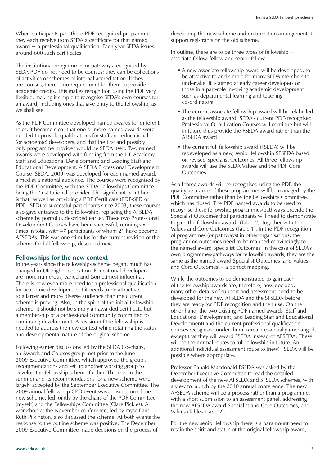When participants pass these PDF-recognised programmes, they each receive from SEDA a certificate for that named award − a professional qualification. Each year SEDA issues around 600 such certificates.

The institutional programmes or pathways recognised by SEDA PDF do not need to be courses; they can be collections of activities or schemes of internal accreditation. If they are courses, there is no requirement for them to provide academic credits. This makes recognition using the PDF very flexible, making it simple to recognise SEDA's own courses for an award, including ones that give entry to the fellowship, as we shall see.

As the PDF Committee developed named awards for different roles, it became clear that one or more named awards were needed to provide qualifications for staff and educational (or academic) developers, and that the first and possibly only programme provider would be SEDA itself. Two named awards were developed with funding from the HE Academy: Staff and Educational Development; and Leading Staff and Educational Development. A SEDA Professional Development Course (SEDA, 2009) was developed for each named award, aimed at a national audience. The courses were recognised by the PDF Committee, with the SEDA Fellowships Committee being the 'institutional' provider. The significant point here is that, as well as providing a PDF Certificate (PDF-SED or PDF-LSED) to successful participants since 2003, these courses also gave entrance to the fellowship, replacing the AFSEDA scheme by portfolio, described earlier. These two Professional Development Courses have been successful, running six times in total, with 47 participants of whom 21 have become AFSEDAs. This was one stimulus for the current revision of the scheme for full fellowship, described next.

#### **Fellowships for the new context**

In the years since the fellowships scheme began, much has changed in UK higher education. Educational developers are more numerous, varied and (sometimes) influential. There is now even more need for a professional qualification for academic developers, but it needs to be attractive to a larger and more diverse audience than the current scheme is proving. Also, in the spirit of the initial fellowship scheme, it should not be simply an awarded certificate but a membership of a professional community committed to continuing development. A revision of the fellowship is needed to address the new context while retaining the status and developmental nature of the original scheme.

Following earlier discussions led by the SEDA Co-chairs, an Awards and Courses group met prior to the June 2009 Executive Committee, which approved the group's recommendations and set up another working group to develop the fellowship scheme further. This met in the summer and its recommendations for a new scheme were largely accepted by the September Executive Committee. The 2009 annual fellowship CPD event was a discussion of the new scheme, led jointly by the chairs of the PDF Committee (myself) and the Fellowships Committee (Clare Pickles). A workshop at the November conference, led by myself and Ruth Pilkington, also discussed the scheme. At both events the response to the outline scheme was positive. The December 2009 Executive Committee made decisions on the process of

developing the new scheme and on transition arrangements to support registrants on the old scheme.

In outline, there are to be three types of fellowship − associate fellow, fellow and senior fellow:

- A new associate fellowship award will be developed, to be attractive to and simple for many SEDA members to undertake. It is aimed at early career developers or those in a part-role involving academic development such as departmental learning and teaching co-ordinators
- The current associate fellowship award will be relabelled as the fellowship award; SEDA's current PDF-recognised Professional Qualification Courses will continue but will in future thus provide the FSEDA award rather than the AFSEDA award
- The current full fellowship award (FSEDA) will be redeveloped as a new, senior fellowship SFSEDA based on revised Specialist Outcomes. All three fellowship awards will use the SEDA Values and the PDF Core Outcomes.

As all three awards will be recognised using the PDF, the quality assurance of these programmes will be managed by the PDF Committee rather than by the Fellowships Committee, which has closed. The PDF named awards to be used to recognise these fellowship programmes/pathways provide the Specialist Outcomes that participants will need to demonstrate to gain the fellowship awards (Table 2), together with the Values and Core Outcomes (Table 1). In the PDF recognition of programmes (or pathways) in other organisations, the programme outcomes need to be mapped convincingly to the named award Specialist Outcomes. In the case of SEDA's own programmes/pathways for fellowship awards, they are the same as the named award Specialist Outcomes (and Values and Core Outcomes) – a perfect mapping.

While the outcomes to be demonstrated to gain each of the fellowship awards are, therefore, now decided, many other details of support and assessment need to be developed for the new AFSEDA and the SFSEDA before they are ready for PDF recognition and then use. On the other hand, the two existing PDF named awards (Staff and Educational Development, and Leading Staff and Educational Development) and the current professional qualification courses recognised under them, remain essentially unchanged, except that they will award FSEDA instead of AFSEDA. These will be the normal routes to full fellowship in future. An additional individual assessment route to (new) FSEDA will be possible where appropriate.

Professor Ranald Macdonald FSEDA was asked by the December Executive Committee to lead the detailed development of the new AFSEDA and SFSEDA schemes, with a view to launch by the 2010 annual conference. The new AFSEDA scheme will be a process rather than a programme, with a short submission to an assessment panel, addressing the new AFSEDA award Specialist and Core Outcomes, and Values (Tables 1 and 2).

For the new senior fellowship there is a paramount need to retain the spirit and status of the original fellowship award,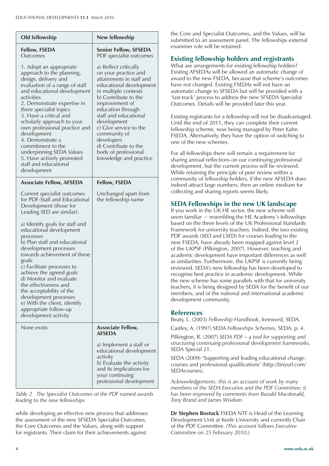| Old fellowship                                                                                                                                                                                                                                                                                                                                                                                                                                                                                                                                        | New fellowship                                                                                                                                                                                                                                                                                                                                                        |
|-------------------------------------------------------------------------------------------------------------------------------------------------------------------------------------------------------------------------------------------------------------------------------------------------------------------------------------------------------------------------------------------------------------------------------------------------------------------------------------------------------------------------------------------------------|-----------------------------------------------------------------------------------------------------------------------------------------------------------------------------------------------------------------------------------------------------------------------------------------------------------------------------------------------------------------------|
| <b>Fellow, FSEDA</b><br>Outcomes                                                                                                                                                                                                                                                                                                                                                                                                                                                                                                                      | <b>Senior Fellow, SFSEDA</b><br>PDF specialist outcomes                                                                                                                                                                                                                                                                                                               |
| 1. Adopt an appropriate<br>approach to the planning,<br>design, delivery and<br>evaluation of a range of staff<br>and educational development<br>activities<br>2. Demonstrate expertise in<br>three specialist topics<br>3. Have a critical and<br>scholarly approach to your<br>own professional practice and<br>development<br>4. Demonstrate a<br>commitment to the<br>underpinning SEDA Values<br>5. Have actively promoted<br>staff and educational<br>development                                                                               | a) Reflect critically<br>on your practice and<br>attainments in staff and<br>educational development<br>in multiple contexts<br>b) Contribute to the<br>improvement of<br>education through<br>staff and educational<br>development<br>c) Give service to the<br>community of<br>developers<br>d) Contribute to the<br>body of professional<br>knowledge and practice |
| <b>Associate Fellow, AFSEDA</b>                                                                                                                                                                                                                                                                                                                                                                                                                                                                                                                       | <b>Fellow, FSEDA</b>                                                                                                                                                                                                                                                                                                                                                  |
| Current specialist outcomes<br>for PDF-Staff and Educational<br>Development (those for<br>Leading SED are similar):<br>a) Identify goals for staff and<br>educational development<br>processes<br>b) Plan staff and educational<br>development processes<br>towards achievement of these<br>goals<br>c) Facilitate processes to<br>achieve the agreed goals<br>d) Monitor and evaluate<br>the effectiveness and<br>the acceptability of the<br>development processes<br>e) With the client, identify<br>appropriate follow-up<br>development activity | Unchanged apart from<br>the fellowship name                                                                                                                                                                                                                                                                                                                           |
| None exists                                                                                                                                                                                                                                                                                                                                                                                                                                                                                                                                           | <b>Associate Fellow,</b><br><b>AFSEDA</b><br>a) Implement a staff or                                                                                                                                                                                                                                                                                                  |
|                                                                                                                                                                                                                                                                                                                                                                                                                                                                                                                                                       | educational development<br>activity<br>b) Evaluate the activity<br>and its implications for<br>your continuing<br>professional development                                                                                                                                                                                                                            |

*Table 2 The Specialist Outcomes of the PDF named awards leading to the new fellowships*

while developing an effective new process that addresses the assessment of the new SFSEDA Specialist Outcomes, the Core Outcomes and the Values, along with support for registrants. Their claim for their achievements against

the Core and Specialist Outcomes, and the Values, will be submitted to an assessment panel. The fellowships external examiner role will be retained.

#### **Existing fellowship holders and registrants**

What are arrangements for existing fellowship holders? Existing AFSEDAs will be allowed an automatic change of award to the new FSEDA, because that scheme's outcomes have not changed. Existing FSEDAs will not have an automatic change to SFSEDA but will be provided with a 'fast-track' process to address the new SFSEDA Specialist Outcomes. Details will be provided later this year.

Existing registrants for a fellowship will not be disadvantaged. Until the end of 2011, they can complete their current fellowship scheme, now being managed by Peter Kahn FSEDA. Alternatively, they have the option of switching to one of the new schemes.

For all fellowships there will remain a requirement for sharing annual reflections on our continuing professional development, but the current process will be reviewed. While retaining the principle of peer review within a community of fellowship holders, if the new AFSEDA does indeed attract large numbers, then an online medium for collecting and sharing reports seems likely.

#### **SEDA Fellowships in the new UK landscape**

If you work in the UK HE sector, the new scheme will seem familiar − resembling the HE Academy's fellowships based on the three levels of the UK Professional Standards Framework for university teachers. Indeed, the two existing PDF awards (SED and LSED) for courses leading to the new FSEDA, have already been mapped against level 2 of the UKPSF (Pilkington, 2007). However, teaching and academic development have important differences as well as similarities. Furthermore, the UKPSF is currently being reviewed. SEDA's new fellowship has been developed to recognise best practice in academic development. While the new scheme has some parallels with that for university teachers, it is being designed by SEDA for the benefit of our members, and of the national and international academic development community.

#### **References**

Beaty, L. (2003) *Fellowship Handbook*, foreword, SEDA.

Castley, A. (1997) SEDA *Fellowships Schemes,* SEDA, p. 4.

Pilkington, R. (2007) *SEDA PDF* – *a tool for supporting and structuring continuing professional development frameworks,* SEDA Special 21.

SEDA (2009) 'Supporting and leading educational change: courses and professional qualifications' (http://tinyurl.com/ SEDAcourses).

*Acknowledgements: this is an account of work by many members of the SEDA Executive and the PDF Committee; it has been improved by comments from Ranald Macdonald, Tony Brand and James Wisdom.*

**Dr Stephen Bostock** FSEDA NTF is Head of the Learning Development Unit at Keele University and currently Chair of the PDF Committee. *(This account follows Executive Committee on 25 February 2010.)*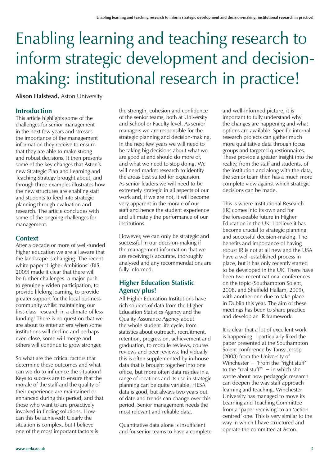# Enabling learning and teaching research to inform strategic development and decisionmaking: institutional research in practice!

**Alison Halstead,** Aston University

#### **Introduction**

This article highlights some of the challenges for senior management in the next few years and stresses the importance of the management information they receive to ensure that they are able to make strong and robust decisions. It then presents some of the key changes that Aston's new Strategic Plan and Learning and Teaching Strategy brought about, and through three examples illustrates how the new structures are enabling staff and students to feed into strategic planning through evaluation and research. The article concludes with some of the ongoing challenges for management.

#### **Context**

After a decade or more of well-funded higher education we are all aware that the landscape is changing. The recent white paper 'Higher Ambitions' (BIS, 2009) made it clear that there will be further challenges: a major push to genuinely widen participation, to provide lifelong learning, to provide greater support for the local business community whilst maintaining our first-class research in a climate of less funding! There is no question that we are about to enter an era when some institutions will decline and perhaps even close, some will merge and others will continue to grow stronger.

So what are the critical factors that determine these outcomes and what can we do to influence the situation? Keys to success are to ensure that the morale of the staff and the quality of their experience are maintained or enhanced during this period, and that those who want to are proactively involved in finding solutions. How can this be achieved? Clearly the situation is complex, but I believe one of the most important factors is

the strength, cohesion and confidence of the senior teams, both at University and School or Faculty level. As senior managers we are responsible for the strategic planning and decision-making. In the next few years we will need to be taking big decisions about what we are good at and should do more of, and what we need to stop doing. We will need market research to identify the areas best suited for expansion. As senior leaders we will need to be extremely strategic in all aspects of our work and, if we are not, it will become very apparent in the morale of our staff and hence the student experience and ultimately the performance of our institutions.

However, we can only be strategic and successful in our decision-making if the management information that we are receiving is accurate, thoroughly analysed and any recommendations are fully informed.

#### **Higher Education Statistic Agency plus!**

All Higher Education Institutions have rich sources of data from the Higher Education Statistics Agency and the Quality Assurance Agency about the whole student life cycle, from statistics about outreach, recruitment, retention, progression, achievement and graduation, to module reviews, course reviews and peer reviews. Individually this is often supplemented by in-house data that is brought together into one office, but more often data resides in a range of locations and its use in strategic planning can be quite variable. HESA data is good, but always two years out of date and trends can change over this period. Senior management needs the most relevant and reliable data.

Quantitative data alone is insufficient and for senior teams to have a complete

and well-informed picture, it is important to fully understand why the changes are happening and what options are available. Specific internal research projects can gather much more qualitative data through focus groups and targeted questionnaires. These provide a greater insight into the reality, from the staff and students, of the institution and along with the data, the senior team then has a much more complete view against which strategic decisions can be made.

This is where Institutional Research (IR) comes into its own and for the foreseeable future in Higher Education in the UK, I believe it has become crucial to strategic planning and successful decision-making. The benefits and importance of having robust IR is not at all new and the USA have a well-established process in place, but it has only recently started to be developed in the UK. There have been two recent national conferences on the topic (Southampton Solent, 2008, and Sheffield Hallam, 2009), with another one due to take place in Dublin this year. The aim of these meetings has been to share practice and develop an IR framework.

It is clear that a lot of excellent work is happening. I particularly liked the paper presented at the Southampton Solent conference by Tansy Jessop (2008) from the University of Winchester − 'From the ''right stuff'' to the "real stuff"' − in which she wrote about how pedagogic research can deepen the way staff approach learning and teaching. Winchester University has managed to move its Learning and Teaching Committee from a 'paper receiving' to an 'action centred' one. This is very similar to the way in which I have structured and operate the committee at Aston.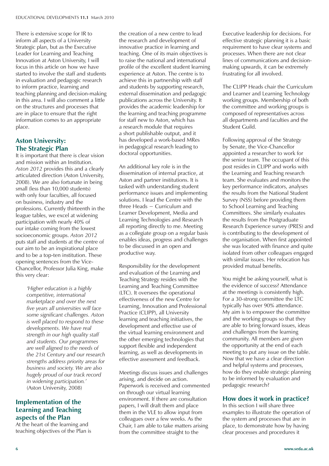There is extensive scope for IR to inform all aspects of a University Strategic plan, but as the Executive Leader for Learning and Teaching Innovation at Aston University, I will focus in this article on how we have started to involve the staff and students in evaluation and pedagogic research to inform practice, learning and teaching planning and decision-making in this area. I will also comment a little on the structures and processes that are in place to ensure that the right information comes to an appropriate place.

#### **Aston University: The Strategic Plan**

It is important that there is clear vision and mission within an Institution. *Aston 2012* provides this and a clearly articulated direction (Aston University, 2008). We are also fortunate in being small (less than 10,000 students) with only four faculties, all focused on business, industry and the professions. Currently thirteenth in the league tables, we excel at widening participation with nearly 40% of our intake coming from the lowest socioeconomic groups. *Aston 2012* puts staff and students at the centre of our aim to be an inspirational place and to be a top-ten institution. These opening sentences from the Vice-Chancellor, Professor Julia King, make this very clear:

> *ëHigher education is a highly competitive, international marketplace and over the next five years all universities will face some significant challenges. Aston is well placed to respond to these developments. We have real strength in our high quality staff and students. Our programmes are well aligned to the needs of the 21st Century and our research strengths address priority areas for business and society. We are also hugely proud of our track record in widening participation.í* (Aston University, 2008)

#### **Implementation of the Learning and Teaching aspects of the Plan**

At the heart of the learning and teaching objectives of the Plan is the creation of a new centre to lead the research and development of innovative practice in learning and teaching. One of its main objectives is to raise the national and international profile of the excellent student learning experience at Aston. The centre is to achieve this in partnership with staff and students by supporting research, external dissemination and pedagogic publications across the University. It provides the academic leadership for the learning and teaching programme for staff new to Aston, which has a research module that requires a short publishable output, and it has developed a work-based MRes in pedagogical research leading to doctoral opportunities.

An additional key role is in the dissemination of internal practice, at Aston and partner institutions. It is tasked with understanding student performance issues and implementing solutions. I lead the Centre with the three Heads − Curriculum and Learner Development, Media and Learning Technologies and Research all reporting directly to me. Meeting as a collegiate group on a regular basis enables ideas, progress and challenges to be discussed in an open and productive way.

Responsibility for the development and evaluation of the Learning and Teaching Strategy resides with the Learning and Teaching Committee (LTC). It oversees the operational effectiveness of the new Centre for Learning, Innovation and Professional Practice (CLIPP), all University learning and teaching initiatives, the development and effective use of the virtual learning environment and the other emerging technologies that support flexible and independent learning, as well as developments in effective assessment and feedback.

Meetings discuss issues and challenges arising, and decide on action. Paperwork is received and commented on through our virtual learning environment. If there are consultation papers, I will draft them and place them in the VLE to allow input from colleagues over a few weeks. As the Chair, I am able to take matters arising from the committee straight to the

Executive leadership for decisions. For effective strategic planning it is a basic requirement to have clear systems and processes. When there are not clear lines of communications and decisionmaking upwards, it can be extremely frustrating for all involved.

The CLIPP Heads chair the Curriculum and Learner and Learning Technology working groups. Membership of both the committee and working groups is composed of representatives across all departments and faculties and the Student Guild.

Following approval of the Strategy by Senate, the Vice-Chancellor appointed a researcher to work for the senior team. The occupant of this post resides in CLIPP and works with the Learning and Teaching research team. She evaluates and monitors the key performance indicators, analyses the results from the National Student Survey (NSS) before providing them to School Learning and Teaching Committees. She similarly evaluates the results from the Postgraduate Research Experience survey (PRES) and is contributing to the development of the organisation. When first appointed she was located with finance and quite isolated from other colleagues engaged with similar issues. Her relocation has provided mutual benefits.

You might be asking yourself, what is the evidence of success? Attendance at the meetings is consistently high. For a 30-strong committee the LTC typically has over 90% attendance. My aim is to empower the committee and the working groups so that they are able to bring forward issues, ideas and challenges from the learning community. All members are given the opportunity at the end of each meeting to put any issue on the table. Now that we have a clear direction and helpful systems and processes, how do they enable strategic planning to be informed by evaluation and pedagogic research?

#### **How does it work in practice?**

In this section I will share three examples to illustrate the operation of the system and processes that are in place, to demonstrate how by having clear processes and procedures it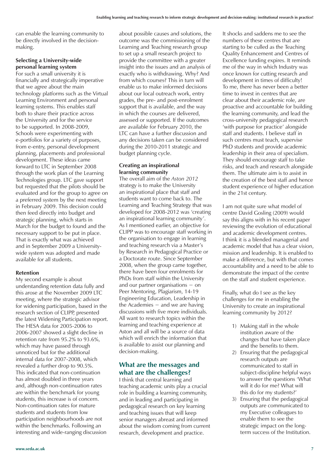can enable the learning community to be directly involved in the decisionmaking.

#### **Selecting a University-wide personal learning system**

For such a small university it is financially and strategically imperative that we agree about the main technology platforms such as the Virtual Learning Environment and personal learning systems. This enables staff both to share their practice across the University and for the service to be supported. In 2008-2009, Schools were experimenting with e-portfolios for a variety of purposes, from e-entry, personal development planning, placements and professional development. These ideas came forward to LTC in September 2008 through the work plan of the Learning Technologies group. LTC gave support but requested that the pilots should be evaluated and for the group to agree on a preferred system by the next meeting in February 2009. This decision could then feed directly into budget and strategic planning, which starts in March for the budget to found and the necessary support to be put in place. That is exactly what was achieved and in September 2009 a Universitywide system was adopted and made available for all students.

#### **Retention**

My second example is about understanding retention data fully and this arose at the November 2009 LTC meeting, where the strategic advisor for widening participation, based in the research section of CLIPP, presented the latest Widening Participation report. The HESA data for 2005-2006 to 2006-2007 showed a slight decline in retention rate from 95.2% to 93.6%, which may have passed through unnoticed but for the additional internal data for 2007-2008, which revealed a further drop to 90.5%. This indicated that non-continuation has almost doubled in three years and, although non-continuation rates are within the benchmark for young students, this increase is of concern. Non-continuation rates for mature students and students from low participation neighbourhoods are not within the benchmarks. Following an interesting and wide-ranging discussion

about possible causes and solutions, the outcome was the commissioning of the Learning and Teaching research group to set up a small research project to provide the committee with a greater insight into the issues and an analysis of exactly who is withdrawing. Why? And from which courses? This in turn will enable us to make informed decisions about our local outreach work, entry grades, the pre- and post-enrolment support that is available, and the way in which the courses are delivered, assessed or supported. If the outcomes are available for February 2010, the LTC can have a further discussion and any decisions taken can be considered during the 2010-2011 strategic and budget planning cycle.

#### **Creating an inspirational learning community**

The overall aim of the *Aston 2012* strategy is to make the University an inspirational place that staff and students want to come back to. The Learning and Teaching Strategy that was developed for 2008-2012 was 'creating an inspirational learning community'. As I mentioned earlier, an objective for CLIPP was to encourage staff working in the organisation to engage in learning and teaching research via a Master's by Research in Pedagogical Practice or a Doctorate route. Since September 2008, when the group came together, there have been four enrolments for PhDs from staff within the University and our partner organisations − on Peer Mentoring, Plagiarism, 14-19 Engineering Education, Leadership in the Academies − and we are having discussions with five more individuals. All want to research topics within the learning and teaching experience at Aston and all will be a source of data which will enrich the information that is available to assist our planning and decision-making.

#### **What are the messages and what are the challenges?**

I think that central learning and teaching academic units play a crucial role in building a learning community, and in leading and participating in pedagogical research on key learning and teaching issues that will keep senior managers abreast and informed about the wisdom coming from current research, development and practice.

It shocks and saddens me to see the numbers of these centres that are starting to be culled as the Teaching Quality Enhancement and Centres of Excellence funding expires. It reminds me of the way in which Industry was once known for cutting research and development in times of difficulty! To me, there has never been a better time to invest in centres that are clear about their academic role, are proactive and accountable for building the learning community, and lead the cross-university pedagogical research 'with purpose for practice' alongside staff and students. I believe staff in such centres must teach, supervise PhD students and provide academic leadership in their area of specialism. They should encourage staff to take risks, and teach and research alongside them. The ultimate aim is to assist in the creation of the best staff and hence student experience of higher education in the 21st century.

I am not quite sure what model of centre David Gosling (2009) would say this aligns with in his recent paper reviewing the evolution of educational and academic development centres. I think it is a blended managerial and academic model that has a clear vision, mission and leadership. It is enabled to make a difference, but with that comes accountability and a need to be able to demonstrate the impact of the centre on the staff and student experience.

Finally, what do I see as the key challenges for me in enabling the University to create an inspirational learning community by 2012?

- 1) Making staff in the whole institution aware of the changes that have taken place and the benefits to them.
- 2) Ensuring that the pedagogical research outputs are communicated to staff in subject-discipline helpful ways to answer the questions 'What will it do for me? What will this do for my students?'
- 3) Ensuring that the pedagogical outputs are communicated to my Executive colleagues to enable them to see the strategic impact on the long term success of the Institution.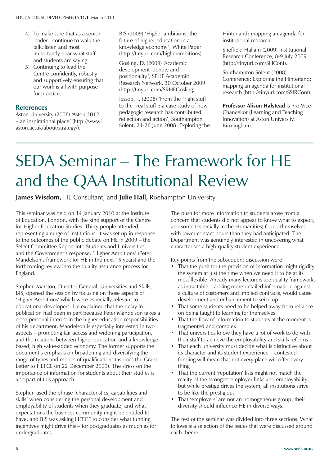- 4) To make sure that as a senior leader I continue to walk the talk, listen and most importantly hear what staff and students are saying.
- 5) Continuing to lead the Centre confidently, robustly and supportively ensuring that our work is all with purpose for practice.

#### **References**

Aston University (2008) 'Aston 2012 – an inspirational place' (http://www1. aston.ac.uk/about/strategy/).

BIS (2009) 'Higher ambitions: the future of higher education in a knowledge economy', White Paper (http://tinyurl.com/higherambitions).

Gosling, D. (2009) 'Academic development identity and positionality', SFHE Academic Research Network, 30 October 2009 (http://tinyurl.com/SRHEGosling).

Jessop, T. (2008) 'From the "right stuff" to the "real stuff": a case study of how pedagogic research has contributed reflection and action', Southampton Solent, 24-26 June 2008: Exploring the Hinterland: mapping an agenda for institutional research.

Sheffield Hallam (2009) Institutional Research Conference, 8-9 July 2009 (http://tinyurl.com/SHConf).

Southampton Solent (2008) Conference: Exploring the Hinterland: mapping an agenda for institutional research (http://tinyurl.com/SSIRConf).

**Professor Alison Halstead** is Pro-Vice-Chancellor (Learning and Teaching Innovation) at Aston University, Birmingham.

## SEDA Seminar – The Framework for HE and the QAA Institutional Review

#### **James Wisdom,** HE Consultant, and **Julie Hall,** Roehampton University

This seminar was held on 14 January 2010 at the Institute of Education, London, with the kind support of the Centre for Higher Education Studies. Thirty people attended, representing a range of institutions. It was set up in response to the outcomes of the public debate on HE in 2009 – the Select Committee Report into Students and Universities and the Government's response, 'Higher Ambitions' (Peter Mandelson's framework for HE in the next 15 years) and the forthcoming review into the quality assurance process for England.

Stephen Marston, Director General, Universities and Skills, BIS, opened the session by focusing on those aspects of 'Higher Ambitions' which were especially relevant to educational developers. He explained that the delay in publication had been in part because Peter Mandelson takes a close personal interest in the higher education responsibilities of his department. Mandelson is especially interested in two aspects – promoting fair access and widening participation, and the relations between higher education and a knowledgebased, high value-added economy. The former supports the document's emphasis on broadening and diversifying the range of types and modes of qualifications (as does the Grant Letter to HEFCE on 22 December 2009). The stress on the importance of information for students about their studies is also part of this approach.

Stephen used the phrase 'characteristics, capabilities and skills' when considering the personal development and employability of students when they graduate, and what expectations the business community might be entitled to have, and BIS was asking HEFCE to consider what funding incentives might drive this – for postgraduates as much as for undergraduates.

The push for more information to students arose from a concern that students did not appear to know what to expect, and some (especially in the Humanities) found themselves with lower contact hours than they had anticipated. The Department was genuinely interested in uncovering what characterises a high-quality student experience.

Key points from the subsequent discussion were:

- That the push for the provision of information might rigidify the system at just the time when we need it to be at its most flexible. Already many lecturers see quality frameworks as intractable – adding more detailed information, against a culture of customers and implied contracts, would cause development and enhancement to seize up
- That some students need to be helped away from reliance on being taught to learning for themselves
- That the flow of information to students at the moment is fragmented and complex
- That universities know they have a lot of work to do with their staff to achieve the employability and skills reforms
- That each university must decide what is distinctive about its character and its student experience – contested funding will mean that not every place will offer every thing
- That the current 'reputation' lists might not match the reality of the strongest employer links and employability; but while prestige drives the system, all institutions strive to be like the prestigious
- That 'employers' are not an homogeneous group; their diversity should influence HE in diverse ways.

The rest of the seminar was divided into three sections. What follows is a selection of the issues that were discussed around each theme.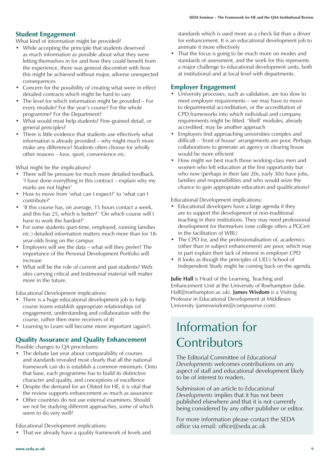#### **Student Engagement**

What kind of information might be provided?

- While accepting the principle that students deserved as much information as possible about what they were letting themselves in for and how they could benefit from the experience, there was general discomfort with how this might be achieved without major, adverse unexpected consequences
- Concern for the possibility of creating what were in effect detailed contracts which might be hard to vary
- $\bullet$  The level for which information might be provided For every module? For the year's course? For the whole programme? For the Department?
- What would most help students? Fine-grained detail, or general principles?
- There is little evidence that students use effectively what information is already provided – why might much more make any difference? Students often choose for wholly other reasons – love, sport, convenience *etc.*

What might be the implications?

- There will be pressure for much more detailed feedback. 'I have done everything in this contract – explain why my marks are not higher'
- How to move from 'what can I expect?' to 'what can I contribute?'
- 'If this course has, on average, 15 hours contact a week, and this has 25, which is better?' 'On which course will I have to work the hardest?'
- For some students (part-time, employed, running families *etc.*) detailed information matters much more than for 18 year-olds living on the campus
- Employers will see the data what will they prefer? The importance of the Personal Development Portfolio will increase
- What will be the role of current and past students? Web sites carrying critical and testimonial material will matter more in the future.

Educational Development implications:

- There is a huge educational development job to help course teams establish appropriate relationships (of engagement, understanding and collaboration with the course, rather then mere receivers of it)
- Learning to Learn will become more important (again?).

#### **Quality Assurance and Quality Enhancement**

Possible changes to QA procedures:

- The debate last year about comparability of courses and standards revealed most clearly that all the national framework can do is establish a common minimum. Onto that base, each programme has to build its distinctive character and quality, and conceptions of excellence
- Despite the demand for an Ofsted for HE, it is vital that the review supports enhancement as much as assurance
- Other countries do not use external examiners. Should we not be studying different approaches, some of which seem to do very well?

Educational Development implications:

• That we already have a quality framework of levels and

standards which is used more as a check list than a driver for enhancement. It is an educational development job to animate it more effectively

• That the focus is going to be much more on modes and standards of assessment, and the work for this represents a major challenge to educational development units, both at institutional and at local level with departments.

#### **Employer Engagement**

- University processes, such as validation, are too slow to meet employer requirements – we may have to move to departmental accreditation, or the accreditation of CPD frameworks into which individual and company requirements might be fitted. 'Shell' modules, already accredited, may be another approach
- Employers find approaching universities complex and difficult – 'front of house' arrangements are poor. Perhaps collaborations to generate an agency or clearing house would be more efficient
- How might we best reach those working-class men and women who left education at the first opportunity but who now (perhaps in their late 20s, early 30s) have jobs, families and responsibilities and who would seize the chance to gain appropriate education and qualifications?

Educational Development implications:

- Educational developers have a large agenda if they are to support the development of non-traditional teaching in their institutions. They may need professional development for themselves (one college offers a PGCert in the facilitation of WBL)
- The CPD for, and the professionalisation of, academics (other than in subject enhancement) are poor, which may in part explain their lack of interest in employer CPD
- It looks as though the principles of UEL's School of Independent Study might be coming back on the agenda.

**Julie Hall** is Head of the Learning, Teaching and Enhancement Unit at the University of Roehampton (Julie. Hall@roehampton.ac.uk). **James Wisdom** is a Visiting Professor in Educational Development at Middlesex University (jameswisdom@compuserve.com).

### Information for **Contributors**

The Editorial Committee of *Educational Developments* welcomes contributions on any aspect of staff and educational development likely to be of interest to readers.

Submission of an article to *Educational Developments* implies that it has not been published elsewhere and that it is not currently being considered by any other publisher or editor.

For more information please contact the SEDA office via email: office@seda.ac.uk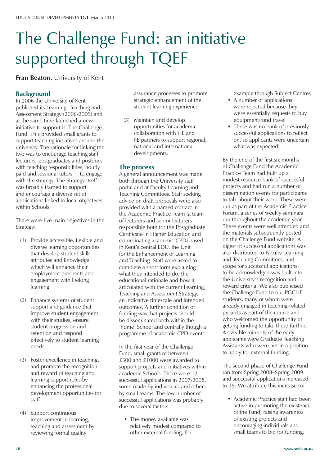# The Challenge Fund: an initiative supported through TQEF

**Fran Beaton,** University of Kent

#### **Background**

In 2006 the University of Kent published its Learning, Teaching and Assessment Strategy (2006-2009) and at the same time launched a new initiative to support it: The Challenge Fund. This provided small grants to support teaching initiatives around the university. The rationale for linking the two was to encourage teaching staff − lecturers, postgraduates and postdocs with teaching responsibilities, hourly paid and sessional tutors − to engage with the strategy. The Strategy itself was broadly framed to support and encourage a diverse set of applications linked to local objectives within Schools.

There were five main objectives in the Strategy:

- (1) Provide accessible, flexible and diverse learning opportunities that develop student skills, attributes and knowledge which will enhance their employment prospects and engagement with lifelong learning
- (2) Enhance systems of student support and guidance that improve student engagement with their studies, ensure student progression and retention and respond effectively to student learning needs
- (3) Foster excellence in teaching, and promote the recognition and reward of teaching and learning support roles by enhancing the professional development opportunities for staff
- (4) Support continuous improvement in learning, teaching and assessment by reviewing formal quality

 assurance processes to promote strategic enhancement of the student learning experience

 (5) Maintain and develop opportunities for academic collaboration with HE and FE partners to support regional, national and international developments.

#### **The process**

A general announcement was made both through the University staff portal and at Faculty Learning and Teaching Committees. Staff seeking advice on draft proposals were also provided with a named contact in the Academic Practice Team (a team of lecturers and senior lecturers responsible both for the Postgraduate Certificate in Higher Education and co-ordinating academic CPD) based in Kent's central EDU, the Unit for the Enhancement of Learning and Teaching. Staff were asked to complete a short form explaining what they intended to do, the educational rationale and how it articulated with the current Learning, Teaching and Assessment Strategy, an indicative timescale and intended outcomes. A further condition of funding was that projects should be disseminated both within the 'home' School and centrally though a programme of academic CPD events.

In the first year of the Challenge Fund, small grants of between £500 and £1000 were awarded to support projects and initiatives within academic Schools. There were 12 successful applications in 2007-2008, some made by individuals and others by small teams. The low number of successful applications was probably due to several factors:

• The money available was relatively modest compared to other external funding, for

example through Subject Centres

- A number of applications were rejected because they were essentially requests to buy equipment/fund travel
- There was no bank of previously successful applications to reflect on, so applicants were uncertain what was expected.

By the end of the first six months of Challenge Fund the Academic Practice Team had built up a modest resource bank of successful projects and had run a number of dissemination events for participants to talk about their work. These were run as part of the Academic Practice Forum, a series of weekly seminars run throughout the academic year. These events were well attended and the materials subsequently posted on the Challenge Fund website. A digest of successful applications was also distributed to Faculty Learning and Teaching Committees, and scope for successful applications to be acknowledged was built into the University's recognition and reward criteria. We also publicised the Challenge Fund to our PGCHE students, many of whom were already engaged in teaching-related projects as part of the course and who welcomed the opportunity of getting funding to take these further. A sizeable minority of the early applicants were Graduate Teaching Assistants who were not in a position to apply for external funding.

The second phase of Challenge Fund ran from Spring 2008–Spring 2009 and successful applications increased to 35. We attribute this increase to:

• Academic Practice staff had been active in promoting the existence of the Fund, raising awareness of existing projects and encouraging individuals and small teams to bid for funding.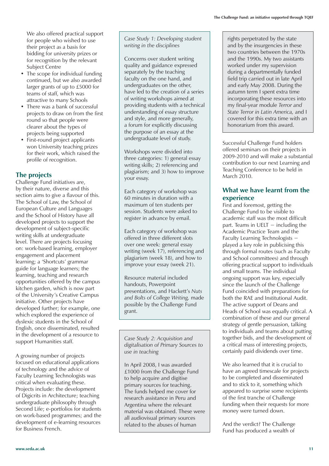We also offered practical support for people who wished to use their project as a basis for bidding for university prizes or for recognition by the relevant Subject Centre

- The scope for individual funding continued, but we also awarded larger grants of up to £5000 for teams of staff, which was attractive to many Schools
- There was a bank of successful projects to draw on from the first round so that people were clearer about the types of projects being supported
- First-round project applicants won University teaching prizes for their work, which raised the profile of recognition.

### **The projects**

Challenge Fund initiatives are, by their nature, diverse and this section aims to give a flavour of this. The School of Law, the School of European Culture and Languages and the School of History have all developed projects to support the development of subject-specific writing skills at undergraduate level. There are projects focusing on: work-based learning, employer engagement and placement learning; a 'Shortcuts' grammar guide for language learners; the learning, teaching and research opportunities offered by the campus kitchen garden, which is now part of the University's Creative Campus initiative. Other projects have developed further; for example, one which explored the experience of dyslexic students in the School of English, once disseminated, resulted in the development of a resource to support Humanities staff.

A growing number of projects focused on educational applications of technology and the advice of Faculty Learning Technologists was critical when evaluating these. Projects include: the development of Digicrits in Architecture; teaching undergraduate philosophy through Second Life; e-portfolios for students on work-based programmes; and the development of e-learning resources for Business French.

*Case Study 1: Developing student writing in the disciplines*

Concerns over student writing quality and guidance expressed separately by the teaching faculty on the one hand, and undergraduates on the other, have led to the creation of a series of writing workshops aimed at providing students with a technical understanding of essay structure and style, and more generally, a forum for explicitly discussing the purpose of an essay at the undergraduate level of study.

Workshops were divided into three categories: 1) general essay writing skills; 2) referencing and plagiarism; and 3) how to improve your essay.

Each category of workshop was 60 minutes in duration with a maximum of ten students per session. Students were asked to register in advance by email.

Each category of workshop was offered in three different slots over one week: general essay writing (week 17), referencing and plagiarism (week 18), and how to improve your essay (week 21).

Resource material included handouts, Powerpoint presentations, and Hackett's *Nuts and Bolts of College Writing,* made possible by the Challenge Fund grant.

*Case Study 2: Acquisition and digitalisation of Primary Sources to use in teaching*

In April 2008, I was awarded £1000 from the Challenge Fund to help acquire and digitise primary sources for teaching. The funds helped me cover for research assistance in Peru and Argentina where the relevant material was obtained. These were all audiovisual primary sources related to the abuses of human

rights perpetrated by the state and by the insurgencies in these two countries between the 1970s and the 1990s. My two assistants worked under my supervision during a departmentally funded field trip carried out in late April and early May 2008. During the autumn term I spent extra time incorporating these resources into my final-year module *Terror and State Terror in Latin America,* and I covered for this extra time with an honorarium from this award.

Successful Challenge Fund holders offered seminars on their projects in 2009-2010 and will make a substantial contribution to our next Learning and Teaching Conference to be held in March 2010.

#### **What we have learnt from the experience**

First and foremost, getting the Challenge Fund to be visible to academic staff was the most difficult part. Teams in UELT  $-$  including the Academic Practice Team and the Faculty Learning Technologists − played a key role in publicising this through formal routes (such as Faculty and School committees) and through offering practical support to individuals and small teams. The individual ongoing support was key, especially since the launch of the Challenge Fund coincided with preparations for both the RAE and Institutional Audit. The active support of Deans and Heads of School was equally critical. A combination of these and our general strategy of gentle persuasion, talking to individuals and teams about putting together bids, and the development of a critical mass of interesting projects, certainly paid dividends over time.

We also learned that it is crucial to have an agreed timescale for projects to be completed and disseminated and to stick to it, something which appeared to surprise some recipients of the first tranche of Challenge funding when their requests for more money were turned down.

And the verdict? The Challenge Fund has produced a wealth of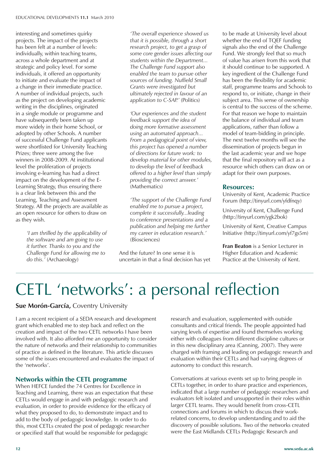interesting and sometimes quirky projects. The impact of the projects has been felt at a number of levels: individually, within teaching teams, across a whole department and at strategic and policy level. For some individuals, it offered an opportunity to initiate and evaluate the impact of a change in their immediate practice. A number of individual projects, such as the project on developing academic writing in the disciplines, originated in a single module or programme and have subsequently been taken up more widely in their home School, or adopted by other Schools. A number of successful Challenge Fund applicants were shortlisted for University Teaching Prizes; three were among the five winners in 2008-2009. At institutional level the proliferation of projects involving e-learning has had a direct impact on the development of the E-Learning Strategy, thus ensuring there is a clear link between this and the Learning, Teaching and Assessment Strategy. All the projects are available as an open resource for others to draw on as they wish.

> *ëI am thrilled by the applicability of the software and am going to use it further. Thanks to you and the Challenge Fund for allowing me to do this.í* (Archaeology)

 *ëThe overall experience showed us that it is possible, through a short research project, to get a grasp of some core gender issues affecting our students within the Department... The Challenge Fund support also enabled the team to pursue other sources of funding. Nuffield Small Grants were investigated but ultimately rejected in favour of an*  application to C-SAP.<sup>'</sup> (Politics)

 *ëOur experiences and the student feedback support the idea of doing more formative assessment using an automated approach... From a pedagogical point of view, this project has opened a number of directions for future work: to develop material for other modules, to develop the level of feedback offered to a higher level than simply providing the correct answer.í*  (Mathematics)

 *ëThe support of the Challenge Fund enabled me to pursue a project, complete it successfully...leading to conference presentations and a publication and helping me further my career in education research.í*  (Biosciences)

And the future? In one sense it is uncertain in that a final decision has yet

to be made at University level about whether the end of TQEF funding signals also the end of the Challenge Fund. We strongly feel that so much of value has arisen from this work that it should continue to be supported. A key ingredient of the Challenge Fund has been the flexibility for academic staff, programme teams and Schools to respond to, or initiate, change in their subject area. This sense of ownership is central to the success of the scheme. For that reason we hope to maintain the balance of individual and team applications, rather than follow a model of team-bidding in principle. The next twelve months will see the dissemination of projects begun in the last academic year and we hope that the final repository will act as a resource which others can draw on or adapt for their own purposes.

#### **Resources:**

University of Kent, Academic Practice Forum (http://tinyurl.com/yfdfnqy)

University of Kent, Challenge Fund (http://tinyurl.com/ygk2bok)

University of Kent, Creative Campus Initiative (http://tinyurl.com/yf7gs5m)

**Fran Beaton** is a Senior Lecturer in Higher Education and Academic Practice at the University of Kent.

# CETL 'networks': a personal reflection

#### **Sue Morón-García, Coventry University**

I am a recent recipient of a SEDA research and development grant which enabled me to step back and reflect on the creation and impact of the two CETL networks I have been involved with. It also afforded me an opportunity to consider the nature of networks and their relationship to communities of practice as defined in the literature. This article discusses some of the issues encountered and evaluates the impact of the 'networks'.

#### **Networks within the CETL programme**

When HEFCE funded the 74 Centres for Excellence in Teaching and Learning, there was an expectation that these CETLs would engage in and with pedagogic research and evaluation, in order to provide evidence for the efficacy of what they proposed to do, to demonstrate impact and to add to the body of pedagogic knowledge. In order to do this, most CETLs created the post of pedagogic researcher or specified staff that would be responsible for pedagogic

research and evaluation, supplemented with outside consultants and critical friends. The people appointed had varying levels of expertise and found themselves working either with colleagues from different discipline cultures or in this new disciplinary area (Canning, 2007). They were charged with framing and leading on pedagogic research and evaluation within their CETLs and had varying degrees of autonomy to conduct this research.

Conversations at various events set up to bring people in CETLs together, in order to share practice and experiences, indicated that a large number of pedagogic researchers and evaluators felt isolated and unsupported in their roles within larger CETL teams. They would benefit from cross-CETL connections and forums in which to discuss their workrelated concerns, to develop understanding and to aid the discovery of possible solutions. Two of the networks created were the East Midlands CETLs Pedagogic Research and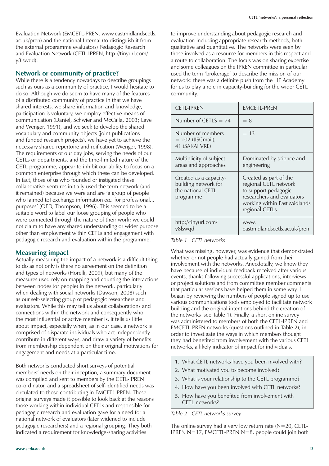Evaluation Network (EMCETL-PREN, www.eastmidlandscetls. ac.uk/pren) and the national Internal (to distinguish it from the external programme evaluators) Pedagogic Research and Evaluation Network (CETL-IPREN, http://tinyurl.com/ y8lswqd).

#### **Network or community of practice?**

While there is a tendency nowadays to describe groupings such as ours as a community of practice, I would hesitate to do so. Although we do seem to have many of the features of a distributed community of practice in that we have shared interests, we share information and knowledge, participation is voluntary, we employ effective means of communication (Daniel, Schwier and McCalla, 2003; Lave and Wenger, 1991), and we seek to develop the shared vocabulary and community objects (joint publications and funded research projects), we have yet to achieve the necessary shared repertoire and reification (Wenger, 1998). The requirements of our day jobs, serving the needs of our CETLs or departments, and the time-limited nature of the CETL programme, appear to inhibit our ability to focus on a common enterprise through which these can be developed. In fact, those of us who founded or instigated these collaborative ventures initially used the term network (and it remained) because we were and are 'a group of people who [aimed to] exchange information *etc.* for professional... purposes' (OED, Thompson, 1996). This seemed to be a suitable word to label our loose grouping of people who were connected through the nature of their work; we could not claim to have any shared understanding or wider purpose other than employment within CETLs and engagement with pedagogic research and evaluation within the programme.

#### **Measuring impact**

Actually measuring the impact of a network is a difficult thing to do as not only is there no agreement on the definition and types of networks (Horelli, 2009), but many of the measures used rely on mapping and counting the interactions between nodes (or people) in the network, particularly when dealing with social networks (Dawson, 2008) such as our self-selecting group of pedagogic researchers and evaluators. While this may tell us about collaborations and connections within the network and consequently who the most influential or active member is, it tells us little about impact, especially when, as in our case, a network is comprised of disparate individuals who act independently, contribute in different ways, and draw a variety of benefits from membership dependent on their original motivations for engagement and needs at a particular time.

Both networks conducted short surveys of potential members' needs on their inception, a summary document was compiled and sent to members by the CETL-IPREN co-ordinator, and a spreadsheet of self-identified needs was circulated to those contributing in EMCETL-PREN. These original surveys made it possible to look back at the reasons those working within individual CETLs and responsible for pedagogic research and evaluation gave for a need for a national network of evaluators (later widened to include pedagogic researchers) and a regional grouping. They both indicated a requirement for knowledge-sharing activities

to improve understanding about pedagogic research and evaluation including appropriate research methods, both qualitative and quantitative. The networks were seen by those involved as a resource for members in this respect and a route to collaboration. The focus was on sharing expertise and some colleagues on the IPREN committee in particular used the term 'brokerage' to describe the mission of our network: there was a definite push from the HE Academy for us to play a role in capacity-building for the wider CETL community.

| <b>CETL-IPREN</b>                                                                | EMCETL-PREN                                                                                                                                             |
|----------------------------------------------------------------------------------|---------------------------------------------------------------------------------------------------------------------------------------------------------|
| Number of CETLS $= 74$                                                           | $= 8$                                                                                                                                                   |
| Number of members<br>$= 102$ (JISC mail),<br>41 (SAKAI VRE)                      | $= 13$                                                                                                                                                  |
| Multiplicity of subject<br>areas and approaches                                  | Dominated by science and<br>engineering                                                                                                                 |
| Created as a capacity-<br>building network for<br>the national CFTL<br>programme | Created as part of the<br>regional CETL network<br>to support pedagogic<br>researchers and evaluators<br>working within East Midlands<br>regional CETLs |
| http://tinyurl.com/<br>y8lswqd                                                   | WWW.<br>eastmidlandscetls.ac.uk/pren                                                                                                                    |

*Table 1 CETL networks*

What was missing, however, was evidence that demonstrated whether or not people had actually gained from their involvement with the networks. Anecdotally, we know they have because of individual feedback received after various events, thanks following successful applications, interviews or project solutions and from committee member comments that particular sessions have helped them in some way. I began by reviewing the numbers of people signed up to use various communications tools employed to facilitate network building and the original intentions behind the creation of the networks (see Table 1). Finally, a short online survey was administered to members of both the CETL-IPREN and EMCETL-PREN networks (questions outlined in Table 2), in order to investigate the ways in which members thought they had benefited from involvement with the various CETL networks, a likely indicator of impact for individuals.

- 1. What CETL networks have you been involved with?
- 2. What motivated you to become involved?
- 3. What is your relationship to the CETL programme?
- 4. How have you been involved with CETL networks?
- 5. How have you benefited from involvement with CETL networks?

*Table 2 CETL networks survey*

The online survey had a very low return rate  $(N=20, CETL-$ IPREN N=17, EMCETL-PREN N=8, people could join both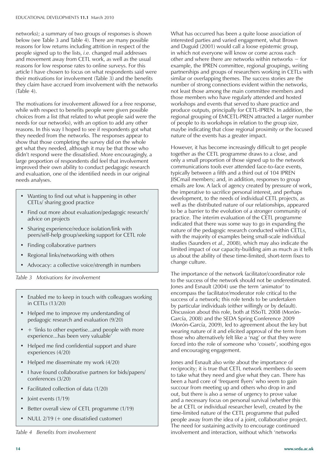networks); a summary of two groups of responses is shown below (see Table 3 and Table 4). There are many possible reasons for low returns including attrition in respect of the people signed up to the lists, *i.e.* changed mail addresses and movement away from CETL work, as well as the usual reasons for low response rates to online surveys. For this article I have chosen to focus on what respondents said were their motivations for involvement (Table 3) and the benefits they claim have accrued from involvement with the networks (Table 4).

The motivations for involvement allowed for a free response, while with respect to benefits people were given possible choices from a list (that related to what people said were the needs for our networks), with an option to add any other reasons. In this way I hoped to see if respondents got what they needed from the networks. The responses appear to show that those completing the survey did on the whole get what they needed, although it may be that those who didn't respond were the dissatisfied. More encouragingly, a large proportion of respondents did feel that involvement improved their own ability to conduct pedagogic research and evaluation, one of the identified needs in our original needs analyses.

- Wanting to find out what is happening in other CETLs/ sharing good practice
- Find out more about evaluation/pedagogic research/ advice on projects
- Sharing experience/reduce isolation/link with peers/self-help group/seeking support for CETL role
- Finding collaborative partners
- Regional links/networking with others
- Advocacy: a collective voice/strength in numbers

*Table 3 Motivations for involvement*

- Enabled me to keep in touch with colleagues working in CETLs (13/20)
- Helped me to improve my understanding of pedagogic research and evaluation (9/20)
- + 'links to other expertise...and people with more experience...has been very valuable'
- Helped me find confidential support and share experiences (4/20)
- Helped me disseminate my work  $(4/20)$
- I have found collaborative partners for bids/papers/ conferences (3/20)
- Facilitated collection of data  $(1/20)$
- Joint events  $(1/19)$
- Better overall view of CETL programme (1/19)
- NULL  $2/19$  (+ one dissatisfied customer)

*Table 4 Benefits from involvement*

What has occurred has been a quite loose association of interested parties and varied engagement, what Brown and Duguid (2001) would call a loose epistemic group, in which not everyone will know or come across each other and where there are networks within networks − for example, the IPREN committee, regional groupings, writing partnerships and groups of researchers working in CETLs with similar or overlapping themes. The success stories are the number of strong connections evident within the networks, not least those among the main committee members and those members who have regularly attended and hosted workshops and events that served to share practice and produce outputs, principally for CETL-IPREN. In addition, the regional grouping of EMCETL-PREN attracted a larger number of people to its workshops in relation to the group size, maybe indicating that close regional proximity or the focused nature of the events has a greater impact.

However, it has become increasingly difficult to get people together as the CETL programme draws to a close, and only a small proportion of those signed up to the network communications tools ever attended face-to-face events, typically between a fifth and a third out of 104 IPREN JISCmail members; and, in addition, responses to group emails are low. A lack of agency created by pressure of work, the imperative to sacrifice personal interest, and perhaps development, to the needs of individual CETL projects, as well as the distributed nature of our relationships, appeared to be a barrier to the evolution of a stronger community of practice. The interim evaluation of the CETL programme indicated that there was some way to go in expanding the nature of the pedagogic research conducted within CETLs, with the majority of examples being small-scale individual studies (Saunders *et al.,* 2008), which may also indicate the limited impact of our capacity-building aim as much as it tells us about the ability of these time-limited, short-term fixes to change culture.

The importance of the network facilitator/coordinator role to the success of the network should not be underestimated. Jones and Esnault (2004) use the term 'animator' to encompass the facilitator/moderator role critical to the success of a network; this role tends to be undertaken by particular individuals (either willingly or by default). Discussion about this role, both at ISSoTL 2008 (Morón-García, 2008) and the SEDA Spring Conference 2009 (Morón-García, 2009), led to agreement about the key but wearing nature of it and elicited approval of the term from those who alternatively felt like a 'nag' or that they were forced into the role of someone who 'cossets', soothing egos and encouraging engagement.

Jones and Esnault also write about the importance of reciprocity; it is true that CETL network members do seem to take what they need and give what they can. There has been a hard core of 'frequent flyers' who seem to gain succour from meeting up and others who drop in and out, but there is also a sense of urgency to prove value and a necessary focus on personal survival (whether this be at CETL or individual researcher level), created by the time-limited nature of the CETL programme that pulled people away from the idea of a joint, collaborative project. The need for sustaining activity to encourage continued involvement and interaction, without which 'networks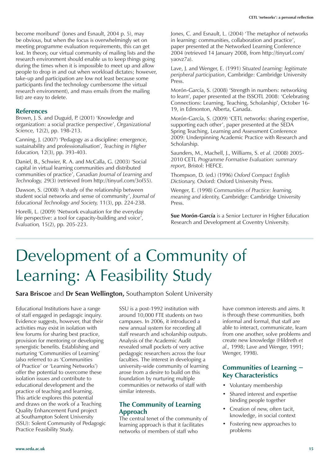become moribund' (Jones and Esnault, 2004 p. 5), may be obvious, but when the focus is overwhelmingly set on meeting programme evaluation requirements, this can get lost. In theory, our virtual community of mailing lists and the research environment should enable us to keep things going during the times when it is impossible to meet up and allow people to drop in and out when workload dictates; however, take-up and participation are low not least because some participants find the technology cumbersome (the virtual research environment), and mass emails (from the mailing list) are easy to delete.

#### **References**

Brown, J. S. and Duguid, P. (2001) 'Knowledge and organization: a social practice perspective', *Organizational Science,* 12(2), pp. 198-213.

Canning, J. (2007) 'Pedagogy as a discipline: emergence, sustainability and professionalisation', *Teaching in Higher Education,* 12(3), pp. 393-403.

Daniel, B., Schwier, R. A. and McCalla, G. (2003) 'Social capital in virtual learning communities and distributed communities of practice', *Canadian Journal of Learning and Technology,* 29(3) (retrieved from http://tinyurl.com/3of55).

Dawson, S. (2008) 'A study of the relationship between student social networks and sense of community', *Journal of Educational Technology and Society,* 11(3), pp. 224-238.

Horelli, L. (2009) 'Network evaluation for the everyday life perspective: a tool for capacity-building and voice', *Evaluation,* 15(2), pp. 205-223.

Jones, C. and Esnault, L. (2004) 'The metaphor of networks in learning: communities, collaboration and practice', paper presented at the Networked Learning Conference 2004 (retrieved 14 January 2008, from http://tinyurl.com/ yaovz7a).

Lave, J. and Wenger, E. (1991) *Situated Learning: legitimate peripheral participation*, Cambridge: Cambridge University Press.

Morón-García, S. (2008) 'Strength in numbers: networking to learn', paper presented at the ISSOTL 2008: 'Celebrating Connections: Learning, Teaching, Scholarship', October 16- 19, in Edmonton, Alberta, Canada.

Morón-García, S. (2009) 'CETL networks: sharing expertise, supporting each other', paper presented at the SEDA Spring Teaching, Learning and Assessment Conference 2009: Underpinning Academic Practice with Research and Scholarship.

Saunders, M., Machell, J., Williams, S. *et al.* (2008) 2005- 2010 CETL *Programme Formative Evaluation: summary report,* Bristol: HEFCE.

Thompson, D. (ed.) (1996) *Oxford Compact English Dictionary,* Oxford: Oxford University Press.

Wenger, E. (1998) *Communities of Practice: learning, meaning and identity,* Cambridge: Cambridge University Press.

**Sue Morón-García** is a Senior Lecturer in Higher Education Research and Development at Coventry University.

# Development of a Community of Learning: A Feasibility Study

**Sara Briscoe** and **Dr Sean Wellington,** Southampton Solent University

Educational Institutions have a range of staff engaged in pedagogic inquiry. Evidence suggests, however, that their activities may exist in isolation with few forums for sharing best practice, provision for mentoring or developing synergistic benefits. Establishing and nurturing 'Communities of Learning' (also referred to as 'Communities of Practice' or 'Learning Networks') offer the potential to overcome these isolation issues and contribute to educational development and the practice of teaching and learning. This article explores this potential and draws on the work of a Teaching Quality Enhancement Fund project at Southampton Solent University (SSU): Solent Community of Pedagogic Practice Feasibility Study.

SSU is a post-1992 institution with around 10,000 FTE students on two campuses. In 2006, it introduced a new annual system for recording all staff research and scholarship outputs. Analysis of the Academic Audit revealed small pockets of very active pedagogic researchers across the four faculties. The interest in developing a university-wide community of learning arose from a desire to build on this foundation by nurturing multiple communities or networks of staff with similar interests.

#### **The Community of Learning Approach**

The central tenet of the community of learning approach is that it facilitates networks of members of staff who

have common interests and aims. It is through these communities, both informal and formal, that staff are able to interact, communicate, learn from one another, solve problems and create new knowledge (Hildreth *et al.,* 1998; Lave and Wenger, 1991; Wenger, 1998).

#### **Communities of Learning − Key Characteristics**

- Voluntary membership
- Shared interest and expertise binding people together
- Creation of new, often tacit, knowledge, in social context
- Fostering new approaches to problems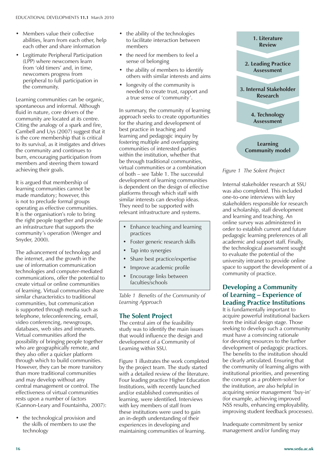- Members value their collective abilities, learn from each other, help each other and share information
- Legitimate Peripheral Participation (LPP) where newcomers learn from 'old timers' and, in time, newcomers progress from peripheral to full participation in the community.

Learning communities can be organic, spontaneous and informal. Although fluid in nature, core drivers of the community are located at its centre. Citing the analogy of a spark and fire, Cambell and Uys (2007) suggest that it is the core membership that is critical to its survival, as it instigates and drives the community and continues to burn, encouraging participation from members and steering them toward achieving their goals.

It is argued that membership of learning communities cannot be made mandatory; however, this is not to preclude formal groups operating as effective communities. It is the organisation's role to bring the right people together and provide an infrastructure that supports the community's operation (Wenger and Snyder, 2000).

The advancement of technology and the internet, and the growth in the use of information communication technologies and computer-mediated communications, offer the potential to create virtual or online communities of learning. Virtual communities share similar characteristics to traditional communities, but communication is supported through media such as telephone, teleconferencing, email, video conferencing, newsgroups, databases, web sites and intranets. Virtual communities afford the possibility of bringing people together who are geographically remote, and they also offer a quicker platform through which to build communities. However, they can be more transitory than more traditional communities and may develop without any central management or control. The effectiveness of virtual communities rests upon a number of factors (Gannon-Leary and Fountainha, 2007):

• the technological provision and the skills of members to use the technology

- the ability of the technologies to facilitate interaction between members
- $\bullet$  the need for members to feel a sense of belonging
- the ability of members to identify others with similar interests and aims
- longevity of the community is needed to create trust, rapport and a true sense of 'community'.

In summary, the community of learning approach seeks to create opportunities for the sharing and development of best practice in teaching and learning and pedagogic inquiry by fostering multiple and overlapping communities of interested parties within the institution, whether that be through traditional communities, virtual communities or a combination of both – see Table 1. The successful development of learning communities is dependent on the design of effective platforms through which staff with similar interests can develop ideas. They need to be supported with relevant infrastructure and systems.

- Enhance teaching and learning practices
- Foster generic research skills
- Tap into synergies
- Share best practice/expertise
- Improve academic profile
- Encourage links between faculties/schools

*Table 1 Benefits of the Community of Learning Approach*

#### **The Solent Project**

The central aim of the feasibility study was to identify the main issues that would influence the design and development of a Community of Learning within SSU.

Figure 1 illustrates the work completed by the project team. The study started with a detailed review of the literature. Four leading practice Higher Education Institutions, with recently launched and/or established communities of learning, were identified. Interviews with key members of staff from these institutions were used to gain an in-depth understanding of their experiences in developing and maintaining communities of learning.



*Figure 1 The Solent Project*

Internal stakeholder research at SSU was also completed. This included one-to-one interviews with key stakeholders responsible for research and scholarship, staff development and learning and teaching. An online survey was administered in order to establish current and future pedagogic learning preferences of all academic and support staff. Finally, the technological assessment sought to evaluate the potential of the university intranet to provide online space to support the development of a community of practice.

#### **Developing a Community of Learning – Experience of Leading Practice Institutions**

It is fundamentally important to acquire powerful institutional backers from the initial design stage. Those seeking to develop such a community must have a convincing rationale for devoting resources to the further development of pedagogic practices. The benefits to the institution should be clearly articulated. Ensuring that the community of learning aligns with institutional priorities, and presenting the concept as a problem-solver for the institution, are also helpful in acquiring senior management 'buy-in' (for example, achieving improved NSS results, enhancing employability, improving student feedback processes).

Inadequate commitment by senior management and/or funding may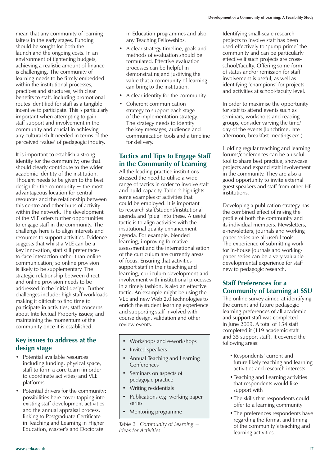mean that any community of learning falters in the early stages. Funding should be sought for both the launch and the ongoing costs. In an environment of tightening budgets, achieving a realistic amount of finance is challenging. The community of learning needs to be firmly embedded within the institutional processes, practices and structures, with clear benefits to staff, including promotional routes identified for staff as a tangible incentive to participate. This is particularly important when attempting to gain staff support and involvement in the community and crucial in achieving any cultural shift needed in terms of the perceived 'value' of pedagogic inquiry.

It is important to establish a strong identity for the community; one that should clearly contribute to the wider academic identity of the institution. Thought needs to be given to the best design for the community − the most advantageous location for central resources and the relationship between this centre and other hubs of activity within the network. The development of the VLE offers further opportunities to engage staff in the community. The challenge here is to align interests and resources to support activities. Evidence suggests that whilst a VLE can be a key innovation, staff still prefer faceto-face interaction rather than online communication; so online provision is likely to be supplementary. The strategic relationship between direct and online provision needs to be addressed in the initial design. Further challenges include: high staff workloads making it difficult to find time to participate in activities; staff concerns about Intellectual Property issues; and maintaining the momentum of the community once it is established.

#### **Key issues to address at the design stage**

- Potential available resources including funding, physical space, staff to form a core team (in order to coordinate activities) and VLE platforms.
- Potential drivers for the community: possibilities here cover tapping into existing staff development activities and the annual appraisal process, linking to Postgraduate Certificate in Teaching and Learning in Higher Education, Master's and Doctorate

in Education programmes and also any Teaching Fellowships.

- A clear strategy timeline, goals and methods of evaluation should be formulated. Effective evaluation processes can be helpful in demonstrating and justifying the value that a community of learning can bring to the institution.
- A clear identity for the community.
- Coherent communication strategy to support each stage of the implementation strategy. The strategy needs to identify the key messages, audience and communication tools and a timeline for delivery.

#### **Tactics and Tips to Engage Staff in the Community of Learning**

All the leading practice institutions stressed the need to utilise a wide range of tactics in order to involve staff and build capacity. Table 2 highlights some examples of activities that could be employed. It is important to research staff/student/institutional agenda and 'plug' into these. A useful tactic is to align activities with the institutional quality enhancement agenda. For example, blended learning, improving formative assessment and the internationalisation of the curriculum are currently areas of focus. Ensuring that activities support staff in their teaching and learning, curriculum development and involvement with institutional processes in a timely fashion, is also an effective tactic. An example might be using the VLE and new Web 2.0 technologies to enrich the student learning experience and supporting staff involved with course design, validation and other review events.

- Workshops and e-workshops
- Invited speakers
- Annual Teaching and Learning Conferences
- Seminars on aspects of pedagogic practice
- Writing residentials
- Publications e.g. working paper series
- Mentoring programme

*Table 2 Community of Learning − Ideas for Activities*

Identifying small-scale research projects to involve staff has been used effectively to 'pump prime' the community and can be particularly effective if such projects are crossschool/faculty. Offering some form of status and/or remission for staff involvement is useful, as well as identifying 'champions' for projects and activities at school/faculty level.

In order to maximise the opportunity for staff to attend events such as seminars, workshops and reading groups, consider varying the time/ day of the events (lunchtime, late afternoon, breakfast meetings *etc.*).

Holding regular teaching and learning forums/conferences can be a useful tool to share best practice, showcase projects and expand staff involvement in the community. They are also a good opportunity to invite external guest speakers and staff from other HE institutions.

Developing a publication strategy has the combined effect of raising the profile of both the community and its individual members. Newsletters, e-newsletters, journals and working paper series are all useful tools. The experience of submitting work for in-house journals and workingpaper series can be a very valuable developmental experience for staff new to pedagogic research.

#### **Staff Preferences for a Community of Learning at SSU**

The online survey aimed at identifying the current and future pedagogic learning preferences of all academic and support staff was completed in June 2009. A total of 154 staff completed it (119 academic staff and 35 support staff). It covered the following areas:

- Respondents' current and future likely teaching and learning activities and research interests
- Teaching and Learning activities that respondents would like support with
- The skills that respondents could offer to a learning community
- The preferences respondents have regarding the format and timing of the community's teaching and learning activities.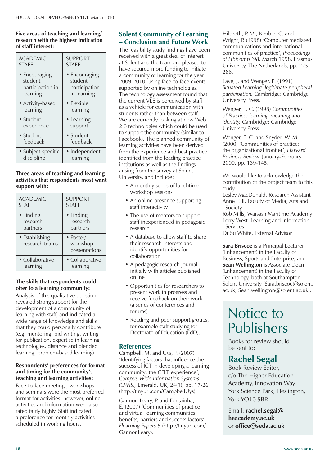#### **Five areas of teaching and learning/ research with the highest indication of staff interest:**

| <b>ACADEMIC</b>    | <b>SUPPORT</b> |
|--------------------|----------------|
| <b>STAFF</b>       | <b>STAFF</b>   |
| • Encouraging      | • Encouraging  |
| student            | student        |
| participation in   | participation  |
| learning           | in learning    |
| • Activity-based   | • Flexible     |
| learning           | learning       |
| • Student          | • Learning     |
| experience         | support        |
| · Student          | · Student      |
| feedback           | feedback       |
| • Subject-specific | • Independent  |
| discipline         | learning       |

#### **Three areas of teaching and learning activities that respondents most want support with:**

| <b>ACADEMIC</b>                  | <b>SUPPORT</b>                                 |
|----------------------------------|------------------------------------------------|
| <b>STAFF</b>                     | <b>STAFF</b>                                   |
| • Finding                        | • Finding                                      |
| research                         | research                                       |
| partners                         | partners                                       |
| • Establishing<br>research teams | $\bullet$ Poster/<br>workshop<br>presentations |
| • Collaborative                  | • Collaborative                                |
| learning                         | learning                                       |

#### **The skills that respondents could offer to a learning community:**

Analysis of this qualitative question revealed strong support for the development of a community of learning with staff, and indicated a wide range of knowledge and skills that they could personally contribute (e.g. mentoring, bid writing, writing for publication, expertise in learning technologies, distance and blended learning, problem-based learning).

#### **Respondentsí preferences for format and timing for the communityís teaching and learning activities:**

Face-to-face meetings, workshops and seminars were the most preferred format for activities; however, online activities and information were also rated fairly highly. Staff indicated a preference for monthly activities scheduled in working hours.

#### **Solent Community of Learning ñ Conclusion and Future Work**

The feasibility study findings have been received with a great deal of interest at Solent and the team are pleased to have secured more funding to initiate a community of learning for the year 2009-2010, using face-to-face events supported by online technologies. The technology assessment found that the current VLE is perceived by staff as a vehicle for communication with students rather than between staff. We are currently looking at new Web 2.0 technologies which could be used to support the community (similar to Facebook). The planned community of learning activities have been derived from the experience and best practice identified from the leading practice institutions as well as the findings arising from the survey at Solent University, and include:

- A monthly series of lunchtime workshop sessions
- An online presence supporting staff interactivity
- The use of mentors to support staff inexperienced in pedagogic research
- A database to allow staff to share their research interests and identify opportunities for collaboration
- A pedagogic research journal, initially with articles published online
- Opportunities for researchers to present work in progress and receive feedback on their work (a series of conferences and forums)
- Reading and peer support groups, for example staff studying for Doctorate of Education (EdD).

#### **References**

Campbell, M. and Uys, P. (2007) 'Identifying factors that influence the success of ICT in developing a learning community: the CELT experience', *Campus-Wide Information Systems (CWIS),* Emerald, UK, 24(1), pp. 17-26 (http://tinyurl.com/CampbellUys).

Gannon-Leary, P. and Fontainha, E. (2007) 'Communities of practice and virtual learning communities: benefits, barriers and success factors', *Elearning Papers 5* (http://tinyurl.com/ GannonLeary).

Hildreth, P. M., Kimble, C. and Wright, P. (1998) 'Computer mediated communications and international communities of practice', *Proceedings of Ethicomp í98,* March 1998, Erasmus University, The Netherlands, pp. 275- 286.

Lave, J. and Wenger, E. (1991) *Situated Learning: legitimate peripheral participation,* Cambridge: Cambridge University Press.

Wenger, E. C. (1998) *Communities of Practice: learning, meaning and identity,* Cambridge: Cambridge University Press.

Wenger, E. C. and Snyder, W. M. (2000) 'Communities of practice: the organizational frontier', *Harvard Business Review,* January-February 2000, pp. 139-145.

We would like to acknowledge the contribution of the project team to this study:

Lesley MacDonald, Research Assistant Anne Hill, Faculty of Media, Arts and Society

Rob Mills, Warsash Maritime Academy Lorry West, Learning and Information **Services** 

Dr Su White, External Advisor

**Sara Briscoe** is a Principal Lecturer (Enhancement) in the Faculty of Business, Sports and Enterprise, and **Sean Wellington** is Associate Dean (Enhancement) in the Faculty of Technology, both at Southampton Solent University (Sara.briscoe@solent. ac.uk; Sean.wellington@solent.ac.uk).

### Notice to Publishers

Books for review should be sent to:

### **Rachel Segal**

Book Review Editor, c/o The Higher Education Academy, Innovation Way, York Science Park, Heslington, York YO10 5BR

Email: **rachel.segal@ heacademy.ac.uk** or **office@seda.ac.uk**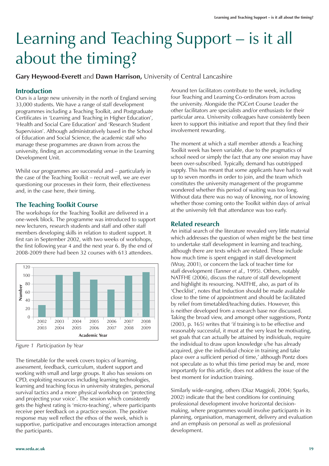# Learning and Teaching Support – is it all about the timing?

**Gary Heywood-Everett** and **Dawn Harrison,** University of Central Lancashire

#### **Introduction**

Ours is a large new university in the north of England serving 33,000 students. We have a range of staff development programmes including a Teaching Toolkit, and Postgraduate Certificates in 'Learning and Teaching in Higher Education', 'Health and Social Care Education' and 'Research Student Supervision'. Although administratively based in the School of Education and Social Science, the academic staff who manage these programmes are drawn from across the university, finding an accommodating venue in the Learning Development Unit.

Whilst our programmes are successful and – particularly in the case of the Teaching Toolkit – recruit well, we are ever questioning our processes in their form, their effectiveness and, in the case here, their timing.

#### **The Teaching Toolkit Course**

The workshops for the Teaching Toolkit are delivered in a one-week block. The programme was introduced to support new lecturers, research students and staff and other staff members developing skills in relation to student support. It first ran in September 2002, with two weeks of workshops, the first following year 4 and the next year 6. By the end of 2008-2009 there had been 32 courses with 613 attendees.



*Figure 1 Participation by Year*

The timetable for the week covers topics of learning, assessment, feedback, curriculum, student support and working with small and large groups. It also has sessions on CPD, exploiting resources including learning technologies, learning and teaching focus in university strategies, personal survival tactics and a more physical workshop on 'protecting and projecting your voice'. The session which consistently gets the highest rating is 'micro-teaching', where participants receive peer feedback on a practice session. The positive response may well reflect the ethos of the week, which is supportive, participative and encourages interaction amongst the participants.

Around ten facilitators contribute to the week, including four Teaching and Learning Co-ordinators from across the university. Alongside the PGCert Course Leader the other facilitators are specialists and/or enthusiasts for their particular area. University colleagues have consistently been keen to support this initiative and report that they find their involvement rewarding.

The moment at which a staff member attends a Teaching Toolkit week has been variable, due to the pragmatics of school need or simply the fact that any one session may have been over-subscribed. Typically, demand has outstripped supply. This has meant that some applicants have had to wait up to seven months in order to join, and the team which constitutes the university management of the programme wondered whether this period of waiting was too long. Without data there was no way of knowing, nor of knowing whether those coming onto the Toolkit within days of arrival at the university felt that attendance was too early.

#### **Related research**

An initial search of the literature revealed very little material which addresses the question of when might be the best time to undertake staff development in learning and teaching, although there are texts which are related. These include how much time is spent engaged in staff development (Wray, 2001), or concern the lack of teacher time for staff development (Tanner *et al.,* 1995). Others, notably NATFHE (2006), discuss the nature of staff development and highlight its resourcing. NATFHE, also, as part of its 'Checklist', notes that Induction should be made available close to the time of appointment and should be facilitated by relief from timetabled/teaching duties. However, this is neither developed from a research base nor discussed. Taking the broad view, and amongst other suggestions, Pontz (2003, p. 165) writes that 'if training is to be effective and reasonably successful, it must at the very least be motivating, set goals that can actually be attained by individuals, require the individual to draw upon knowledge s/he has already acquired, give the individual choice in training and take place over a sufficient period of time,' although Pontz does not speculate as to what this time period may be and, more importantly for this article, does not address the issue of the best moment for induction training.

Similarly wide-ranging, others (Diaz Maggioli, 2004; Sparks, 2002) indicate that the best conditions for continuing professional development involve horizontal decisionmaking, where programmes would involve participants in its planning, organisation, management, delivery and evaluation and an emphasis on personal as well as professional development.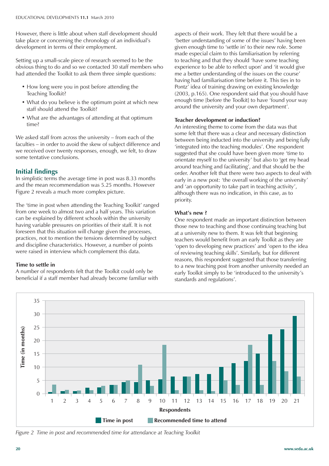However, there is little about when staff development should take place or concerning the chronology of an individual's development in terms of their employment.

Setting up a small-scale piece of research seemed to be the obvious thing to do and so we contacted 30 staff members who had attended the Toolkit to ask them three simple questions:

- How long were you in post before attending the Teaching Toolkit?
- What do you believe is the optimum point at which new staff should attend the Toolkit?
- What are the advantages of attending at that optimum time?

We asked staff from across the university – from each of the faculties – in order to avoid the skew of subject difference and we received over twenty responses, enough, we felt, to draw some tentative conclusions.

#### **Initial findings**

In simplistic terms the average time in post was 8.33 months and the mean recommendation was 5.25 months. However Figure 2 reveals a much more complex picture.

The 'time in post when attending the Teaching Toolkit' ranged from one week to almost two and a half years. This variation can be explained by different schools within the university having variable pressures on priorities of their staff. It is not foreseen that this situation will change given the processes, practices, not to mention the tensions determined by subject and discipline characteristics. However, a number of points were raised in interview which complement this data.

#### **Time to settle in**

A number of respondents felt that the Toolkit could only be beneficial if a staff member had already become familiar with aspects of their work. They felt that there would be a 'better understanding of some of the issues' having been given enough time to 'settle in' to their new role. Some made especial claim to this familiarisation by referring to teaching and that they should 'have some teaching experience to be able to reflect upon' and 'it would give me a better understanding of the issues on the course' having had familiarisation time before it. This ties in to Pontz' idea of training drawing on existing knowledge (2003, p.165). One respondent said that you should have enough time [before the Toolkit] to have 'found your way around the university and your own department'.

#### **Teacher development or induction?**

An interesting theme to come from the data was that some felt that there was a clear and necessary distinction between being inducted into the university and being fully 'integrated into the teaching modules'. One respondent suggested that she could have been given more 'time to orientate myself to the university' but also to 'get my head around teaching and facilitating', and that should be the order. Another felt that there were two aspects to deal with early in a new post: 'the overall working of the university' and 'an opportunity to take part in teaching activity', although there was no indication, in this case, as to priority.

#### **What's new?**

One respondent made an important distinction between those new to teaching and those continuing teaching but at a university new to them. It was felt that beginning teachers would benefit from an early Toolkit as they are 'open to developing new practices' and 'open to the idea of reviewing teaching skills'. Similarly, but for different reasons, this respondent suggested that those transferring to a new teaching post from another university needed an early Toolkit simply to be 'introduced to the university's standards and regulations'.



*Figure 2 Time in post and recommended time for attendance at Teaching Toolkit*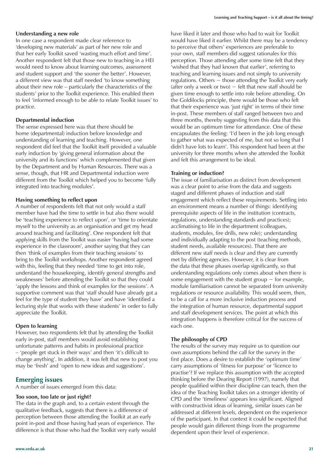#### **Understanding a new role**

In one case a respondent made clear reference to 'developing new materials' as part of her new role and that her early Toolkit saved 'wasting much effort and time'. Another respondent felt that those new to teaching in a HEI would need to know about learning outcomes, assessment and student support and 'the sooner the better'. However, a different view was that staff needed 'to know something about their new role – particularly the characteristics of the students' prior to the Toolkit experience. This enabled them to feel 'informed enough to be able to relate Toolkit issues' to practice.

#### **Departmental induction**

The sense expressed here was that there should be home (departmental) induction before knowledge and understanding of learning and teaching. However, one respondent did feel that the Toolkit itself provided a valuable early induction by 'giving general information about the university and its functions' which complemented that given by the Department and by Human Resources. There was a sense, though, that HR and Departmental induction were different from the Toolkit which helped you to become 'fully integrated into teaching modules'.

#### **Having something to reflect upon**

A number of respondents felt that not only would a staff member have had the time to settle in but also there would be 'teaching experience to reflect upon', or 'time to orientate myself to the university as an organisation and get my head around teaching and facilitating'. One respondent felt that applying skills from the Toolkit was easier 'having had some experience in the classroom', another saying that they can then 'think of examples from their teaching sessions' to bring to the Toolkit workshops. Another respondent agreed with this, feeling that they needed 'time to get into role, understand the housekeeping, identify general strengths and weaknesses' before attending the Toolkit so that they could 'apply the lessons and think of examples for the sessions'. A supportive comment was that 'staff should have already got a feel for the type of student they have' and have 'identified a lecturing style that works with these students' in order to fully appreciate the Toolkit.

#### **Open to learning**

However, two respondents felt that by attending the Toolkit early in-post, staff members would avoid establishing unfortunate patterns and habits in professional practice – 'people get stuck in their ways' and then 'it's difficult to change anything'. In addition, it was felt that new to post you may be 'fresh' and 'open to new ideas and suggestions'.

#### **Emerging issues**

A number of issues emerged from this data:

#### **Too soon, too late or just right?**

The data in the graph and, to a certain extent through the qualitative feedback, suggests that there is a difference of perception between those attending the Toolkit at an early point in-post and those having had years of experience. The difference is that those who had the Toolkit very early would have liked it later and those who had to wait for Toolkit would have liked it earlier. Whilst there may be a tendency to perceive that others' experiences are preferable to your own, staff members did suggest rationales for this perception. Those attending after some time felt that they 'wished that they had known that earlier', referring to teaching and learning issues and not simply to university regulations. Others − those attending the Toolkit very early (after only a week or two)  $-$  felt that new staff should be given time enough to settle into role before attending. On the Goldilocks principle, there would be those who felt that their experience was 'just right' in terms of their time in-post. These members of staff ranged between two and three months, thereby suggesting from this data that this would be an optimum time for attendance. One of these encapsulates the feeling: 'I'd been in the job long enough to gather what was expected of me, but not so long that I didn't have lots to learn'. This respondent had been at the university for three months when she attended the Toolkit and felt this arrangement to be ideal.

#### **Training or induction?**

The issue of familiarisation as distinct from development was a clear point to arise from the data and suggests staged and different phases of induction and staff engagement which reflect these requirements. Settling into an environment means a number of things: identifying prerequisite aspects of life in the institution (contracts, regulations, understanding standards and practices); acclimatising to life in the department (colleagues, students, modules, fire drills, new role); understanding and individually adapting to the post (teaching methods, student needs, available resources). That there are different new staff needs is clear and they are currently met by differing agencies. However, it is clear from the data that these phases overlap significantly, so that understanding regulations only comes about when there is some engagement with the student group  $-$  for example, module familiarisation cannot be separated from university regulations or resource availability. This would seem, then, to be a call for a more inclusive induction process and the integration of human resource, departmental support and staff development services. The point at which this integration happens is therefore critical for the success of each one.

#### **The philosophy of CPD**

The results of the survey may require us to question our own assumptions behind the call for the survey in the first place. Does a desire to establish the 'optimum time' carry assumptions of 'fitness for purpose' or 'licence to practise'? If we replace this assumption with the accepted thinking before the Dearing Report (1997), namely that people qualified within their discipline can teach, then the idea of the Teaching Toolkit takes on a stronger identity of CPD and the 'timeliness' appears less significant. Aligned with constructivist ideas of learning, similar issues can be addressed at different levels, dependent on the experience of the participant. In that context it could be expected that people would gain different things from the programme dependent upon their level of experience.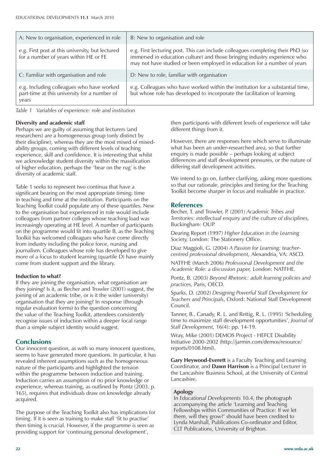| A: New to organisation, experienced in role                                                        | B: New to organisation and role                                                                                                                                                                                                          |
|----------------------------------------------------------------------------------------------------|------------------------------------------------------------------------------------------------------------------------------------------------------------------------------------------------------------------------------------------|
| e.g. First post at this university, but lectured<br>for a number of years within HE or FE          | e.g. First lecturing post. This can include colleagues completing their PhD (so<br>immersed in education culture) and those bringing industry experience who<br>may not have studied or been employed in education for a number of years |
| C: Familiar with organisation and role                                                             | D: New to role, familiar with organisation                                                                                                                                                                                               |
| e.g. Including colleagues who have worked<br>part-time at this university for a number of<br>years | e.g. Colleagues who have worked within the institution for a substantial time,<br>but whose role has developed to incorporate the facilitation of learning                                                                               |

*Table 1 Variables of experience: role and institution*

#### **Diversity and academic staff**

Perhaps we are guilty of assuming that lecturers (and researchers) are a homogeneous group (only distinct by their discipline), whereas they are the most mixed of mixedability groups, coming with different levels of teaching experience, skill and confidence. It is interesting that whilst we acknowledge student diversity within the massification of higher education, perhaps the 'bear on the rug' is the diversity of academic staff.

Table 1 seeks to represent two continua that have a significant bearing on the most appropriate timing: time in teaching and time at the institution. Participants on the Teaching Toolkit could populate any of these quartiles. New to the organisation but experienced in role would include colleagues from partner colleges whose teaching load was increasingly operating at HE level. A number of participants on the programme would fit into quartile B, as the Teaching Toolkit has welcomed colleagues who have come directly from industry including the police force, nursing and journalism. Colleagues whose role has developed to give more of a focus to student learning (quartile D) have mainly come from student support and the library.

#### **Induction to what?**

If they are joining the organisation, what organisation are they joining? Is it, as Becher and Trowler (2001) suggest, the joining of an academic tribe, or is it the wider (university) organisation that they are joining? In response (through regular evaluation forms) to the question concerning the value of the Teaching Toolkit, attendees consistently recognise issues of induction within a deeper focal range than a simple subject identity would suggest.

#### **Conclusions**

Our innocent question, as with so many innocent questions, seems to have generated more questions. In particular, it has revealed inherent assumptions such as the homogeneous nature of the participants and highlighted the tension within the programme between induction and training. Induction carries an assumption of no prior knowledge or experience, whereas training, as outlined by Pontz (2003, p. 165), requires that individuals draw on knowledge already acquired.

The purpose of the Teaching Toolkit also has implications for timing. If it is seen as training to make staff 'fit to practise' then timing is crucial. However, if the programme is seen as providing support for 'continuing personal development',

then participants with different levels of experience will take different things from it.

However, there are responses here which serve to illuminate what has been an under-researched area, so that further enquiry is made possible – perhaps looking at subject differences and staff development pressures, or the nature of differing staff development activities.

We intend to go on, further clarifying, asking more questions so that our rationale, principles and timing for the Teaching Toolkit become sharper in focus and realisable in practice.

#### **References**

Becher, T. and Trowler, P. (2001) *Academic Tribes and Territories: intellectual enquiry and the culture of disciplines,* Buckingham: OUP.

Dearing Report (1997) *Higher Education in the Learning Society,* London: The Stationery Office.

Diaz Maggioli, G. (2004) *A Passion for Learning: teachercentred professional development,* Alexandria, VA: ASCD.

NATFHE (March 2006) *Professional Development and the Academic Role: a discussion paper,* London: NATFHE.

Pontz, B. (2003) *Beyond Rhetoric: adult learning policies and practices,* Paris, OECD.

Sparks, D. (2002) *Designing Powerful Staff Development for Teachers and Principals*, Oxford: National Staff Development Council.

Tanner, B., Canady, R. L. and Rettig, R. L. (1995) 'Scheduling time to maximize staff development opportunities', *Journal of Staff Development,* 16(4): pp. 14-19.

Wray, Mike (2001) DEMOS Project - HEFCE Disability Initiative 2000-2002 (http://jarmin.com/demos/resource/ reports/0108.html).

**Gary Heywood-Everett** is a Faculty Teaching and Learning Coordinator, and **Dawn Harrison** is a Principal Lecturer in the Lancashire Business School, at the University of Central Lancashire.

#### **Apology**

In *Educational Developments* 10.4, the photograph accompanying the article 'Learning and Teaching Fellowships within Communities of Practice: If we let them, will they grow?' should have been credited to Lynda Marshall, Publications Co-ordinator and Editor, CLT Publications, University of Brighton.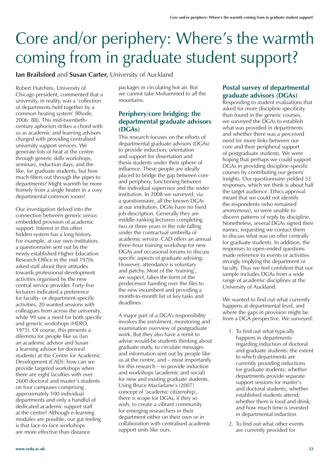# Core and/or periphery: Where's the warmth coming from in graduate student support?

**Ian Brailsford** and **Susan Carter,** University of Auckland

Robert Hutchins, University of Chicago president, commented that a university, in reality, was a 'collection of departments held together by a common heating system' (Rhode, 2006: 88). This mid-twentiethcentury aphorism strikes a chord with us as academic and learning advisors charged with providing centralised university support services. We generate lots of heat at the centre through generic skills workshops, seminars, induction days, and the like, for graduate students, but how much filters out through the pipes to departments? Might warmth be more homely from a single heater in a cosy departmental common room?

Our investigation delved into the connection between generic *versus* embedded provision of academic support. Interest in this often hidden system has a long history. For example, at our own institution, a questionnaire sent out by the newly established Higher Education Research Office in the mid 1970s asked staff about their attitudes towards professional development activities organised by the new central service provider. Forty-five lecturers indicated a preference for faculty- or department-specific activities, 20 wanted sessions with colleagues from across the university, while 99 saw a need for both specific and generic workshops (HERO, 1975). Of course, this presents a dilemma for people like us (Ian an academic advisor and Susan a learning advisor for doctoral students) at the Centre for Academic Development (CAD): how can we provide targeted workshops when there are eight faculties with over 2600 doctoral and master's students on four campuses comprising approximately 100 individual departments and only a handful of dedicated academic support staff at the centre? Although e-learning modules are possible, our gut feeling is that face-to-face workshops are more effective than distance

packages in circulating hot air. But we cannot take Mohammed to all the mountains.

#### **Periphery/core bridging: the departmental graduate advisors (DGAs)**

This research focuses on the efforts of departmental graduate advisors (DGAs) to provide induction, orientation and support for dissertation and thesis students under their sphere of influence. These people are ideally placed to bridge the gap between core and periphery, functioning between the individual supervisor and the wider institution. In 2008 we surveyed, via a questionnaire, all the known DGAs at our institution. DGAs have no fixed job description. Generally they are middle-ranking lecturers completing two or three years in the role falling under the contractual umbrella of academic service. CAD offers an annual three-hour training workshop for new DGAs and occasional forums to discuss specific aspects of graduate advising. However, attendance is voluntary and patchy. Most of the 'training', we suspect, takes the form of the predecessor handing over the files to the new incumbent and providing a month-to-month list of key tasks and deadlines.

A major part of a DGA's responsibility involves the enrolment, monitoring and examination overview of postgraduate work. But they also have a remit to advise would-be students thinking about graduate study, to circulate messages and information sent out by people like us at the centre, and – most importantly for this research – to provide induction and workshops (academic and social) for new and existing graduate students. Using Bruce Macfarlane's (2007) concept of 'academic citizenship', there is scope for DGAs, if they so wish, to create a vibrant community for emerging researchers in their department either on their own or in collaboration with centralised academic support units like ours.

#### **Postal survey of departmental graduate advisors (DGAs)**

Responding to student evaluations that asked for more discipline specificity than found in the generic courses, we surveyed the DGAs to establish what was provided in departments and whether there was a perceived need for more links between our core and their peripheral support of postgraduate students. We were hoping that perhaps we could support DGAs in providing discipline-specific courses by contributing our generic insights. Our questionnaire yielded 52 responses, which we think is about half the target audience. Ethics approval meant that we could not identify the respondents (who remained anonymous), so were unable to discern patterns of reply by discipline. Nonetheless, several DGAs signed their names, requesting we contact them to discuss what was on offer centrally for graduate students. In addition, the responses to open-ended questions made reference to events or activities strongly implying the department or faculty. Thus we feel confident that our sample includes DGAs from a wide range of academic disciplines at the University of Auckland.

We wanted to find out what currently happens at departmental level, and where the gaps in provision might be from a DGA perspective. We surveyed:

- 1. To find out what typically happens in departments regarding induction of doctoral and graduate students: the extent to which departments are currently providing inductions for graduate students; whether departments provide separate support sessions for master's and doctoral students; whether established students attend; whether there is food and drink; and how much time is invested in departmental induction
- 2. To find out what other events are currently provided for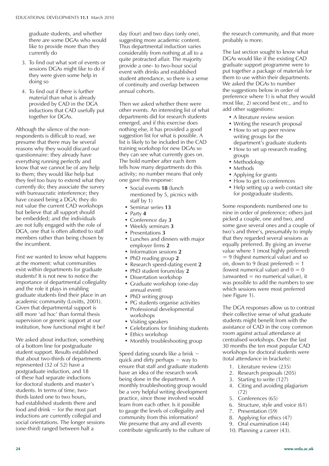graduate students, and whether there are some DGAs who would like to provide more than they currently do

- 3. To find out what sort of events or sessions DGAs might like to do if they were given some help in doing so
- 4. To find out if there is further material than what is already provided by CAD in the DGA inductions that CAD usefully put together for DGAs.

Although the silence of the nonrespondents is difficult to read, we presume that there may be several reasons why they would discard our questionnaire: they already have everything running perfectly and know that we cannot be of any help to them; they would like help but they feel too busy to extend what they currently do; they associate the survey with bureaucratic interference; they have ceased being a DGA; they do not value the current CAD workshops but believe that all support should be embedded; and the individuals are not fully engaged with the role of DGA, one that is often allotted to staff members rather than being chosen by the incumbent.

First we wanted to know what happens at the moment: what communities exist within departments for graduate students? It is not new to notice the importance of departmental collegiality and the role it plays in enabling graduate students find their place in an academic community (Lovitts, 2001). Given that departmental support is still more 'ad hoc' than formal thesis supervision or generic support at our institution, how functional might it be?

We asked about induction, something of a bottom line for postgraduate student support. Results established that about two-thirds of departments represented (32 of 52) have a postgraduate induction, and 18 of these had separate inductions for doctoral students and master's students. In terms of time, twothirds lasted one to two hours, had established students there and food and drink  $-$  for the most part inductions are currently collegial and social orientations. The longer sessions (one-third) ranged between half a

day (four) and two days (only one), suggesting more academic content. Thus departmental induction varies considerably from nothing at all to a quite protracted affair. The majority provide a one- to two-hour social event with drinks and established student attendance, so there is a sense of continuity and overlap between annual cohorts.

Then we asked whether there were other events. An interesting list of what departments did for research students emerged, and if this exercise does nothing else, it has provided a good suggestion list for what is possible. A list is likely to be included in the CAD training workshop for new DGAs so they can see what currently goes on. The bold number after each item tells how many departments do this activity; no number means that only one gave this response:

- Social events 18 (lunch mentioned by 5, picnics with staff by 1)
- Seminar series 13
- $\bullet$  Party  $4$
- Conference day 3
- Weekly seminars 3
- Presentations 3
- Lunches and dinners with major employer firms **2**
- Information sessions 2
- PhD reading group 2
- ï Research speed-dating event **2**
- PhD student forum/day 2
- Dissertation workshop
- Graduate workshop (one-day annual event)
- PhD writing group
- PG students organise activities
- Professional developmental
- workshops
- Visiting speakers
- Celebrations for finishing students
- Ethics workshop
- Monthly troubleshooting group

Speed dating sounds like a brisk − quick and dirty perhaps − way to ensure that staff and graduate students have an idea of the research work being done in the department. A monthly troubleshooting group would be a very helpful writing development practice, since those involved would learn from each other. Is it possible to gauge the levels of collegiality and community from this information? We presume that any and all events contribute significantly to the culture of the research community, and that more probably is more.

The last section sought to know what DGAs would like if the existing CAD graduate support programme were to put together a package of materials for them to use within their departments. We asked the DGAs to number the suggestions below in order of preference where 1) is what they would most like, 2) second best *etc.,* and to add other suggestions:

- A literature review session
- Writing the research proposal
- How to set up peer review writing groups for the department's graduate students
- How to set up research reading groups
- Methodology
- Methods
- Applying for grants
- How to get to conferences
- Help setting up a web contact site for postgraduate students.

Some respondents numbered one to nine in order of preference; others just picked a couple, one and two, and some gave several ones and a couple of two's and three's, presumably to imply that they regarded several sessions as equally preferred. By giving an inverse value where 1 (most highly preferred) = 9 (highest numerical value) and so on, down to 9 (least preferred) =  $1$ (lowest numerical value) and  $0 = 0$  $(unwanted = no numerical value)$ , it was possible to add the numbers to see which sessions were most preferred (see Figure 1).

The DGA responses allow us to contrast their collective sense of what graduate students might benefit from with the assistance of CAD in the cosy common room against actual attendance at centralised workshops. Over the last 30 months the ten most popular CAD workshops for doctoral students were (total attendance in brackets):

- 1. Literature review (235)
- 2. Research proposals (205)
- 3. Starting to write (127)
- 4. Citing and avoiding plagiarism  $(72)$
- 5. Conferences (65)
- 6. Structure, style and voice (61)
- 7. Presentation (59)
- 8. Applying for ethics (47)
- 9. Oral examination (44)
- 10. Planning a career (43).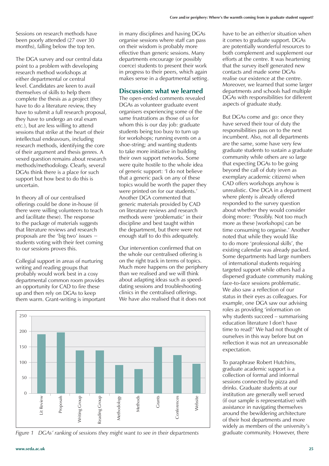Sessions on research methods have been poorly attended (27 over 30 months), falling below the top ten.

The DGA survey and our central data point to a problem with developing research method workshops at either departmental or central level. Candidates are keen to avail themselves of skills to help them complete the thesis as a project (they have to do a literature review, they have to submit a full research proposal, they have to undergo an oral exam *etc.*), but are less willing to attend sessions that strike at the heart of their intellectual endeavours, including research methods, identifying the core of their argument and thesis genres. A vexed question remains about research methods/methodology. Clearly, several DGAs think there is a place for such support but how best to do this is uncertain.

In theory all of our centralised offerings could be done in-house (if there were willing volunteers to teach and facilitate these). The response to the package of materials suggests that literature reviews and research proposals are the 'big two' issues − students voting with their feet coming to our sessions proves this.

Collegial support in areas of nurturing writing and reading groups that probably would work best in a cosy departmental common room provides an opportunity for CAD to fire these up and then rely on DGAs to keep them warm. Grant-writing is important in many disciplines and having DGAs organise sessions where staff can pass on their wisdom is probably more effective than generic sessions. Many departments encourage (or possibly coerce) students to present their work in progress to their peers, which again makes sense in a departmental setting.

#### **Discussion: what we learned**

The open-ended comments revealed DGAs as volunteer graduate event organisers experiencing some of the same frustrations as those of us for whom this is our day job: graduate students being too busy to turn up for workshops; running events on a shoe-string; and wanting students to take more initiative in building their own support networks. Some were quite hostile to the whole idea of generic support: 'I do not believe that a generic pack on any of these topics would be worth the paper they were printed on for our students.' Another DGA commented that generic materials provided by CAD on literature reviews and research methods were 'problematic' in their discipline and best taught within the department, but there were not enough staff to do this adequately.

Our intervention confirmed that on the whole our centralised offering is on the right track in terms of topics. Much more happens on the periphery than we realised and we will think about adapting ideas such as speeddating sessions and troubleshooting clinics in the centralised offerings. We have also realised that it does not



*Figure 1* DGAs' ranking of sessions they might want to see in their departments

have to be an either/or situation when it comes to graduate support. DGAs are potentially wonderful resources to both complement and supplement our efforts at the centre. It was heartening that the survey itself generated new contacts and made some DGAs realise our existence at the centre. Moreover, we learned that some larger departments and schools had multiple DGAs with responsibilities for different aspects of graduate study.

But DGAs come and go: once they have served their tour of duty the responsibilities pass on to the next incumbent. Also, not all departments are the same, some have very few graduate students to sustain a graduate community while others are so large that expecting DGAs to be going beyond the call of duty (even as exemplary academic citizens) when CAD offers workshops anyhow is unrealistic. One DGA in a department where plenty is already offered responded to the survey question about whether they would consider doing more: 'Possibly. Not too much more as these [workshops] can be time consuming to organise.' Another noted that while they would like to do more 'professional skills', the existing calendar was already packed. Some departments had large numbers of international students requiring targeted support while others had a dispersed graduate community making face-to-face sessions problematic. We also saw a reflection of our status in their eyes as colleagues. For example, one DGA saw our advising roles as providing 'information on why students succeed – summarising education literature I don't have time to read!' We had not thought of ourselves in this way before but on reflection it was not an unreasonable expectation.

To paraphrase Robert Hutchins, graduate academic support is a collection of formal and informal sessions connected by pizza and drinks. Graduate students at our institution are generally well served (if our sample is representative) with assistance in navigating themselves around the bewildering architecture of their host departments and more widely as members of the university's<br>graduate community. However, there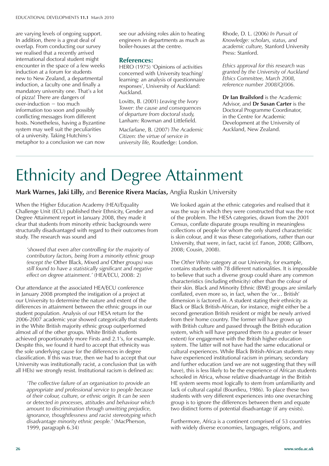are varying levels of ongoing support. In addition, there is a great deal of overlap. From conducting our survey we realised that a recently arrived international doctoral student might encounter in the space of a few weeks induction at a forum for students new to New Zealand, a departmental induction, a faculty one and finally a mandatory university one. That's a lot of pizza! There are dangers of over-induction − too much information too soon and possibly conflicting messages from different hosts. Nonetheless, having a Byzantine system may well suit the peculiarities of a university. Taking Hutchins's metaphor to a conclusion we can now

see our advising roles akin to heating engineers in departments as much as boiler-houses at the centre.

#### **References:**

HERO (1975) 'Opinions of activities concerned with University teaching/ learning: an analysis of questionnaire responses', University of Auckland: Auckland.

Lovitts, B. (2001) *Leaving the Ivory Tower: the cause and consequences of departure from doctoral study,* Lanham: Rowman and Littlefield.

Macfarlane, B. (2007) *The Academic Citizen: the virtue of service in university life,* Routledge: London.

Rhode, D. L. (2006) *In Pursuit of Knowledge: scholars, status, and academic culture,* Stanford University Press: Stanford.

*Ethics approval for this research was granted by the University of Auckland Ethics Committee, March 2008, reference number 2008/Q/006.*

**Dr Ian Brailsford** is the Academic Advisor, and **Dr Susan Carter** is the Doctoral Programme Coordinator, in the Centre for Academic Development at the University of Auckland, New Zealand.

## Ethnicity and Degree Attainment

**Mark Warnes, Jaki Lilly, and Berenice Rivera Macías, Anglia Ruskin University** 

When the Higher Education Academy (HEA)/Equality Challenge Unit (ECU) published their Ethnicity, Gender and Degree Attainment report in January 2008, they made it clear that students from minority ethnic backgrounds were structurally disadvantaged with regard to their outcomes from study. The research was sound and

*ëshowed that even after controlling for the majority of contributory factors, being from a minority ethnic group (except the* Other Black, Mixed *and* Other *groups) was still found to have a statistically significant and negative effect on degree attainment.'* (HEA/ECU, 2008: 2)

Our attendance at the associated HEA/ECU conference in January 2008 prompted the instigation of a project at our University to determine the nature and extent of the differences in attainment between the ethnic groups in our student population. Analysis of our HESA return for the 2006-2007 academic year showed categorically that students in the White British majority ethnic group outperformed almost all of the other groups. White British students achieved proportionately more Firsts and 2.1's, for example. Despite this, we found it hard to accept that ethnicity was the sole underlying cause for the differences in degree classification. If this was true, then we had to accept that our University was institutionally racist, a conclusion that (as with all HEIs) we strongly resist. Institutional racism is defined as:

*ëThe collective failure of an organisation to provide an appropriate and professional service to people because of their colour, culture, or ethnic origin. It can be seen or detected in processes, attitudes and behaviour which amount to discrimination through unwitting prejudice, ignorance, thoughtlessness and racist stereotyping which disadvantage minority ethnic people.í* (MacPherson, 1999, paragraph 6.34)

We looked again at the ethnic categories and realised that it was the way in which they were constructed that was the root of the problem. The HESA categories, drawn from the 2001 Census, conflate disparate groups resulting in meaningless collections of people for whom the only shared characteristic is skin colour, and it was these categorisations, rather than our University, that were, in fact, racist (*cf.* Fanon, 2008; Gillborn, 2008; Cousin, 2008).

The *Other White* category at our University, for example, contains students with 78 different nationalities. It is impossible to believe that such a diverse group could share any common characteristics (including ethnicity) other than the colour of their skin. Black and Minority Ethnic (BME) groups are similarly conflated, even more so, in fact, when the 'or… British' dimension is factored in. A student stating their ethnicity as Black or Black British-African, for instance, might either be a second generation British resident or might be newly arrived from their home country. The former will have grown up with British culture and passed through the British education system, which will have prepared them (to a greater or lesser extent) for engagement with the British higher education system. The latter will not have had the same educational or cultural experiences. While Black British-African students may have experienced institutional racism in primary, secondary and further education (and we are not suggesting that they will have), this is less likely to be the experience of African students schooled in Africa, whose relative disadvantage in the British HE system seems most logically to stem from unfamiliarity and lack of cultural capital (Bourdieu, 1986). To place these two students with very different experiences into one overarching group is to ignore the differences between them and equate two distinct forms of potential disadvantage (if any exists).

Furthermore, Africa is a continent comprised of 53 countries with widely diverse economies, languages, religions, and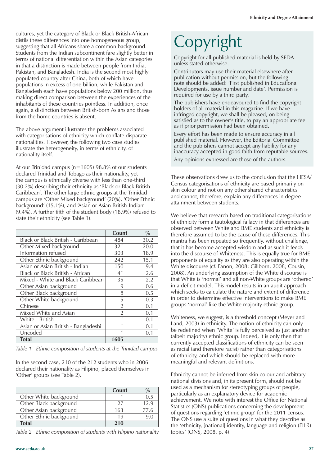cultures, yet the category of Black or Black British-African distils these differences into one homogeneous group, suggesting that all Africans share a common background. Students from the Indian subcontinent fare slightly better in terms of national differentiation within the Asian categories in that a distinction is made between people from India, Pakistan, and Bangladesh. India is the second most highly populated country after China, both of which have populations in excess of one billion, while Pakistan and Bangladesh each have populations below 200 million, thus making direct comparison between the experiences of the inhabitants of these countries pointless. In addition, once again, a distinction between British-born Asians and those from the home countries is absent.

The above argument illustrates the problems associated with categorisations of ethnicity which conflate disparate nationalities. However, the following two case studies illustrate the heterogeneity, in terms of ethnicity, of nationality itself.

At our Trinidad campus (n=1605) 98.8% of our students declared Trinidad and Tobago as their nationality, yet the campus is ethnically diverse with less than one-third (30.2%) describing their ethnicity as 'Black or Black British-Caribbean'. The other large ethnic groups at the Trinidad campus are 'Other Mixed background' (20%), 'Other Ethnic background' (15.1%), and 'Asian or Asian British-Indian' (9.4%). A further fifth of the student body (18.9%) refused to state their ethnicity (see Table 1).

|                                         | Count          | $\frac{0}{0}$ |
|-----------------------------------------|----------------|---------------|
| Black or Black British - Caribbean      | 484            | 30.2          |
| Other Mixed background                  | 321            | 20.0          |
| Information refused                     | 303            | 18.9          |
| Other Ethnic background                 | 242            | 15.1          |
| Asian or Asian British - Indian         | 150            | 9.4           |
| <b>Black or Black British - African</b> | 41             | 2.6           |
| Mixed - White and Black Caribbean       | 35             | 2.2           |
| Other Asian background                  | 9              | 0.6           |
| Other Black background                  | 8              | 0.5           |
| Other White background                  | 5              | 0.3           |
| Chinese                                 | $\overline{2}$ | 0.1           |
| Mixed White and Asian                   | $\overline{2}$ | 0.1           |
| White - British                         | 1              | 0.1           |
| Asian or Asian British - Bangladeshi    | 1              | 0.1           |
| Uncoded                                 | 1              | 0.1           |
| <b>Total</b>                            | 1605           |               |

*Table 1 Ethnic composition of students at the Trinidad campus*

In the second case, 210 of the 212 students who in 2006 declared their nationality as Filipino, placed themselves in 'Other' groups (see Table 2).

|                         | Count | $\%$ |
|-------------------------|-------|------|
| Other White background  |       | 0.5  |
| Other Black background  | 27    | 12.9 |
| Other Asian background  | 163   | 77.6 |
| Other Ethnic background | 19    | 9.0  |
| <b>Total</b>            | 210   |      |

*Table 2 Ethnic composition of students with Filipino nationality*

# Copyright

Copyright for all published material is held by SEDA unless stated otherwise.

Contributors may use their material elsewhere after publication without permission, but the following note should be added: 'First published in Educational Developments, issue number and date'. Permission is required for use by a third party.

The publishers have endeavoured to find the copyright holders of all material in this magazine. If we have infringed copyright, we shall be pleased, on being satisfied as to the owner's title, to pay an appropriate fee as if prior permission had been obtained.

Every effort has been made to ensure accuracy in all published material. However, the Editorial Committee and the publishers cannot accept any liability for any inaccuracy accepted in good faith from reputable sources.

Any opinions expressed are those of the authors.

These observations drew us to the conclusion that the HESA/ Census categorisations of ethnicity are based primarily on skin colour and not on any other shared characteristics and cannot, therefore, explain any differences in degree attainment between students.

We believe that research based on traditional categorisations of ethnicity form a tautological fallacy in that differences are observed between White and BME students and ethnicity is therefore assumed to be the cause of these differences. This mantra has been repeated so frequently, without challenge, that it has become accepted wisdom and as such it feeds into the discourse of Whiteness. This is equally true for BME proponents of equality as they are also operating within the White discourse (*cf.* Fanon, 2008; Gillborn, 2008; Cousin, 2008). An underlying assumption of the White discourse is that White is 'normal' and all non-White groups are 'othered' in a deficit model. This model results in an audit approach which seeks to calculate the nature and extent of difference in order to determine effective interventions to make BME groups 'normal' like the White majority ethnic group.

Whiteness, we suggest, is a threshold concept (Meyer and Land, 2003) in ethnicity. The notion of ethnicity can only be redefined when 'White' is fully perceived as just another (albeit majority) ethnic group. Indeed, it is only then that currently accepted classifications of ethnicity can be seen as racial (and therefore racist) rather than categorisations of ethnicity, and which should be replaced with more meaningful and relevant definitions.

Ethnicity cannot be inferred from skin colour and arbitrary national divisions and, in its present form, should not be used as a mechanism for stereotyping groups of people, particularly as an explanatory device for academic achievement. We note with interest the Office for National Statistics (ONS) publications concerning the development of questions regarding 'ethnic group' for the 2011 census. The ONS use a suite of questions in what they describe as the 'ethnicity, [national] identity, language and religion (EILR) topics' (ONS, 2008, p. 4).